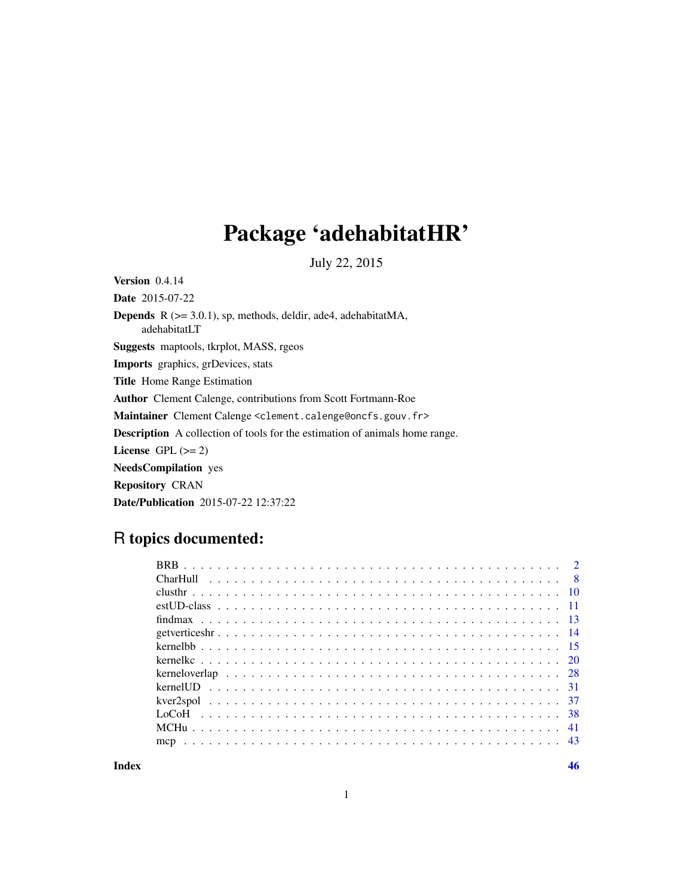## Package 'adehabitatHR'

July 22, 2015

<span id="page-0-0"></span>Version 0.4.14

Date 2015-07-22 Depends R (>= 3.0.1), sp, methods, deldir, ade4, adehabitatMA, adehabitatLT Suggests maptools, tkrplot, MASS, rgeos Imports graphics, grDevices, stats Title Home Range Estimation Author Clement Calenge, contributions from Scott Fortmann-Roe Maintainer Clement Calenge <clement.calenge@oncfs.gouv.fr> Description A collection of tools for the estimation of animals home range. License GPL  $(>= 2)$ NeedsCompilation yes Repository CRAN Date/Publication 2015-07-22 12:37:22

## R topics documented:

1

**Index a** set of the set of the set of the set of the set of the set of the set of the set of the set of the set of the set of the set of the set of the set of the set of the set of the set of the set of the set of the s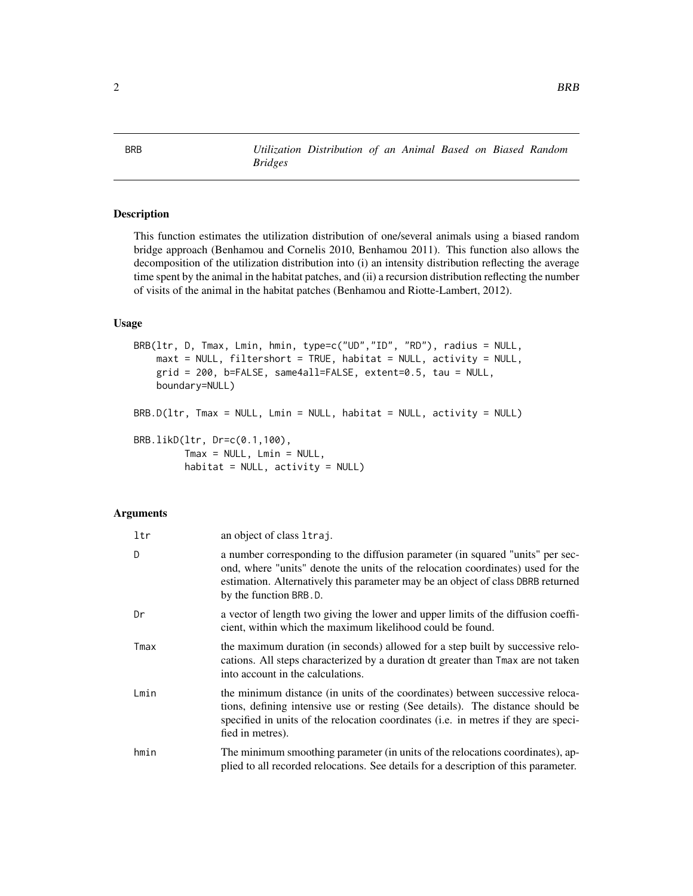<span id="page-1-0"></span>BRB *Utilization Distribution of an Animal Based on Biased Random Bridges*

#### Description

This function estimates the utilization distribution of one/several animals using a biased random bridge approach (Benhamou and Cornelis 2010, Benhamou 2011). This function also allows the decomposition of the utilization distribution into (i) an intensity distribution reflecting the average time spent by the animal in the habitat patches, and (ii) a recursion distribution reflecting the number of visits of the animal in the habitat patches (Benhamou and Riotte-Lambert, 2012).

#### Usage

```
BRB(ltr, D, Tmax, Lmin, hmin, type=c("UD","ID", "RD"), radius = NULL,
   maxt = NULL, filtershort = TRUE, habitat = NULL, activity = NULL,
   grid = 200, b=FALSE, same4all=FALSE, extent=0.5, tau = NULL,
   boundary=NULL)
BRB.D(ltr, Tmax = NULL, Lmin = NULL, habitat = NULL, activity = NULL)
BRB.likD(ltr, Dr=c(0.1,100),
         Tmax = NULL, Lmin = NULL,habitat = NULL, activity = NULL)
```
#### Arguments

| ltr  | an object of class 1traj.                                                                                                                                                                                                                                                       |
|------|---------------------------------------------------------------------------------------------------------------------------------------------------------------------------------------------------------------------------------------------------------------------------------|
| D    | a number corresponding to the diffusion parameter (in squared "units" per sec-<br>ond, where "units" denote the units of the relocation coordinates) used for the<br>estimation. Alternatively this parameter may be an object of class DBRB returned<br>by the function BRB.D. |
| Dr   | a vector of length two giving the lower and upper limits of the diffusion coeffi-<br>cient, within which the maximum likelihood could be found.                                                                                                                                 |
| Tmax | the maximum duration (in seconds) allowed for a step built by successive relo-<br>cations. All steps characterized by a duration dt greater than Tmax are not taken<br>into account in the calculations.                                                                        |
| Lmin | the minimum distance (in units of the coordinates) between successive reloca-<br>tions, defining intensive use or resting (See details). The distance should be<br>specified in units of the relocation coordinates (i.e. in metres if they are speci-<br>fied in metres).      |
| hmin | The minimum smoothing parameter (in units of the relocations coordinates), ap-<br>plied to all recorded relocations. See details for a description of this parameter.                                                                                                           |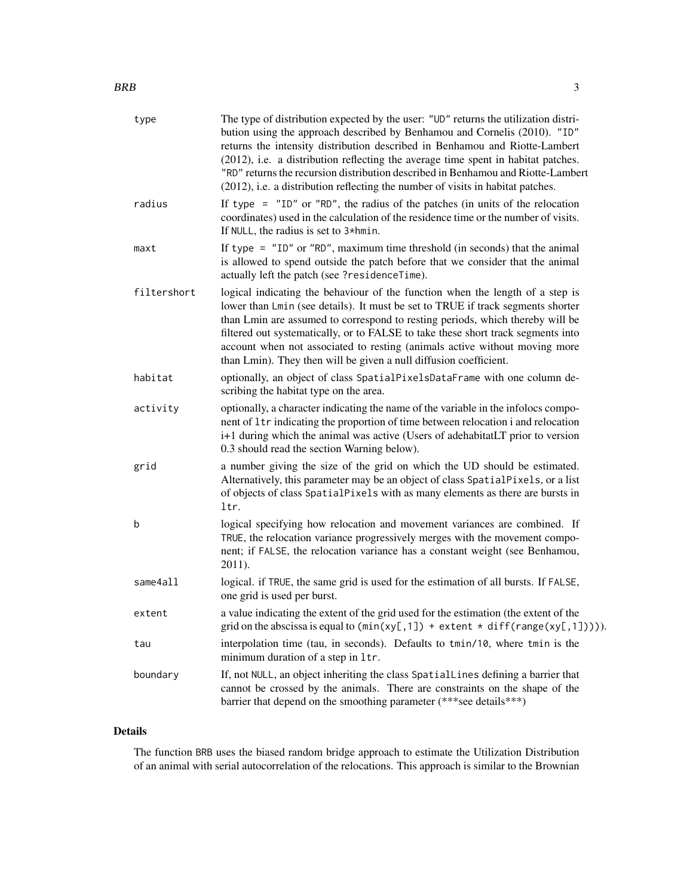| type        | The type of distribution expected by the user: "UD" returns the utilization distri-<br>bution using the approach described by Benhamou and Cornelis (2010). "ID"<br>returns the intensity distribution described in Benhamou and Riotte-Lambert<br>(2012), i.e. a distribution reflecting the average time spent in habitat patches.<br>"RD" returns the recursion distribution described in Benhamou and Riotte-Lambert<br>(2012), i.e. a distribution reflecting the number of visits in habitat patches. |
|-------------|-------------------------------------------------------------------------------------------------------------------------------------------------------------------------------------------------------------------------------------------------------------------------------------------------------------------------------------------------------------------------------------------------------------------------------------------------------------------------------------------------------------|
| radius      | If type $=$ "ID" or "RD", the radius of the patches (in units of the relocation<br>coordinates) used in the calculation of the residence time or the number of visits.<br>If NULL, the radius is set to 3*hmin.                                                                                                                                                                                                                                                                                             |
| maxt        | If type = $"ID"$ or $"RD"$ , maximum time threshold (in seconds) that the animal<br>is allowed to spend outside the patch before that we consider that the animal<br>actually left the patch (see ?residenceTime).                                                                                                                                                                                                                                                                                          |
| filtershort | logical indicating the behaviour of the function when the length of a step is<br>lower than Lmin (see details). It must be set to TRUE if track segments shorter<br>than Lmin are assumed to correspond to resting periods, which thereby will be<br>filtered out systematically, or to FALSE to take these short track segments into<br>account when not associated to resting (animals active without moving more<br>than Lmin). They then will be given a null diffusion coefficient.                    |
| habitat     | optionally, an object of class SpatialPixelsDataFrame with one column de-<br>scribing the habitat type on the area.                                                                                                                                                                                                                                                                                                                                                                                         |
| activity    | optionally, a character indicating the name of the variable in the infolocs compo-<br>nent of 1tr indicating the proportion of time between relocation i and relocation<br>i+1 during which the animal was active (Users of adehabitatLT prior to version<br>0.3 should read the section Warning below).                                                                                                                                                                                                    |
| grid        | a number giving the size of the grid on which the UD should be estimated.<br>Alternatively, this parameter may be an object of class SpatialPixels, or a list<br>of objects of class SpatialPixels with as many elements as there are bursts in<br>ltr.                                                                                                                                                                                                                                                     |
| b           | logical specifying how relocation and movement variances are combined. If<br>TRUE, the relocation variance progressively merges with the movement compo-<br>nent; if FALSE, the relocation variance has a constant weight (see Benhamou,<br>2011).                                                                                                                                                                                                                                                          |
| same4all    | logical. if TRUE, the same grid is used for the estimation of all bursts. If FALSE,<br>one grid is used per burst.                                                                                                                                                                                                                                                                                                                                                                                          |
| extent      | a value indicating the extent of the grid used for the estimation (the extent of the<br>grid on the abscissa is equal to $(min(xy[,1]) + extent * diff(range(xy[,1]))$ .                                                                                                                                                                                                                                                                                                                                    |
| tau         | interpolation time (tau, in seconds). Defaults to tmin/10, where tmin is the<br>minimum duration of a step in 1tr.                                                                                                                                                                                                                                                                                                                                                                                          |
| boundary    | If, not NULL, an object inheriting the class SpatialLines defining a barrier that<br>cannot be crossed by the animals. There are constraints on the shape of the<br>barrier that depend on the smoothing parameter (***see details***)                                                                                                                                                                                                                                                                      |

### Details

The function BRB uses the biased random bridge approach to estimate the Utilization Distribution of an animal with serial autocorrelation of the relocations. This approach is similar to the Brownian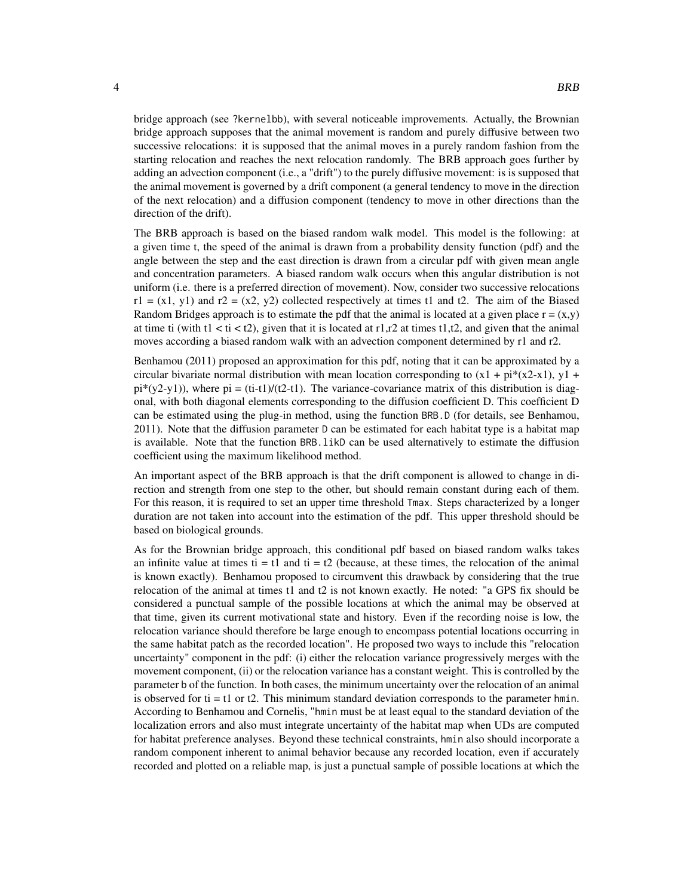bridge approach (see ?kernelbb), with several noticeable improvements. Actually, the Brownian bridge approach supposes that the animal movement is random and purely diffusive between two successive relocations: it is supposed that the animal moves in a purely random fashion from the starting relocation and reaches the next relocation randomly. The BRB approach goes further by adding an advection component (i.e., a "drift") to the purely diffusive movement: is is supposed that the animal movement is governed by a drift component (a general tendency to move in the direction of the next relocation) and a diffusion component (tendency to move in other directions than the direction of the drift).

The BRB approach is based on the biased random walk model. This model is the following: at a given time t, the speed of the animal is drawn from a probability density function (pdf) and the angle between the step and the east direction is drawn from a circular pdf with given mean angle and concentration parameters. A biased random walk occurs when this angular distribution is not uniform (i.e. there is a preferred direction of movement). Now, consider two successive relocations  $r1 = (x1, y1)$  and  $r2 = (x2, y2)$  collected respectively at times t1 and t2. The aim of the Biased Random Bridges approach is to estimate the pdf that the animal is located at a given place  $r = (x,y)$ at time ti (with  $t1 < t1 < t2$ ), given that it is located at  $r1, r2$  at times  $t1, t2$ , and given that the animal moves according a biased random walk with an advection component determined by r1 and r2.

Benhamou (2011) proposed an approximation for this pdf, noting that it can be approximated by a circular bivariate normal distribution with mean location corresponding to  $(x1 + pi*(x2-x1), y1 +$  $pi^*(y2-y1)$ ), where  $pi = (ti-t1)/(t2-t1)$ . The variance-covariance matrix of this distribution is diagonal, with both diagonal elements corresponding to the diffusion coefficient D. This coefficient D can be estimated using the plug-in method, using the function BRB.D (for details, see Benhamou, 2011). Note that the diffusion parameter D can be estimated for each habitat type is a habitat map is available. Note that the function BRB.likD can be used alternatively to estimate the diffusion coefficient using the maximum likelihood method.

An important aspect of the BRB approach is that the drift component is allowed to change in direction and strength from one step to the other, but should remain constant during each of them. For this reason, it is required to set an upper time threshold Tmax. Steps characterized by a longer duration are not taken into account into the estimation of the pdf. This upper threshold should be based on biological grounds.

As for the Brownian bridge approach, this conditional pdf based on biased random walks takes an infinite value at times ti = t1 and ti = t2 (because, at these times, the relocation of the animal is known exactly). Benhamou proposed to circumvent this drawback by considering that the true relocation of the animal at times t1 and t2 is not known exactly. He noted: "a GPS fix should be considered a punctual sample of the possible locations at which the animal may be observed at that time, given its current motivational state and history. Even if the recording noise is low, the relocation variance should therefore be large enough to encompass potential locations occurring in the same habitat patch as the recorded location". He proposed two ways to include this "relocation uncertainty" component in the pdf: (i) either the relocation variance progressively merges with the movement component, (ii) or the relocation variance has a constant weight. This is controlled by the parameter b of the function. In both cases, the minimum uncertainty over the relocation of an animal is observed for  $ti = t1$  or t2. This minimum standard deviation corresponds to the parameter hmin. According to Benhamou and Cornelis, "hmin must be at least equal to the standard deviation of the localization errors and also must integrate uncertainty of the habitat map when UDs are computed for habitat preference analyses. Beyond these technical constraints, hmin also should incorporate a random component inherent to animal behavior because any recorded location, even if accurately recorded and plotted on a reliable map, is just a punctual sample of possible locations at which the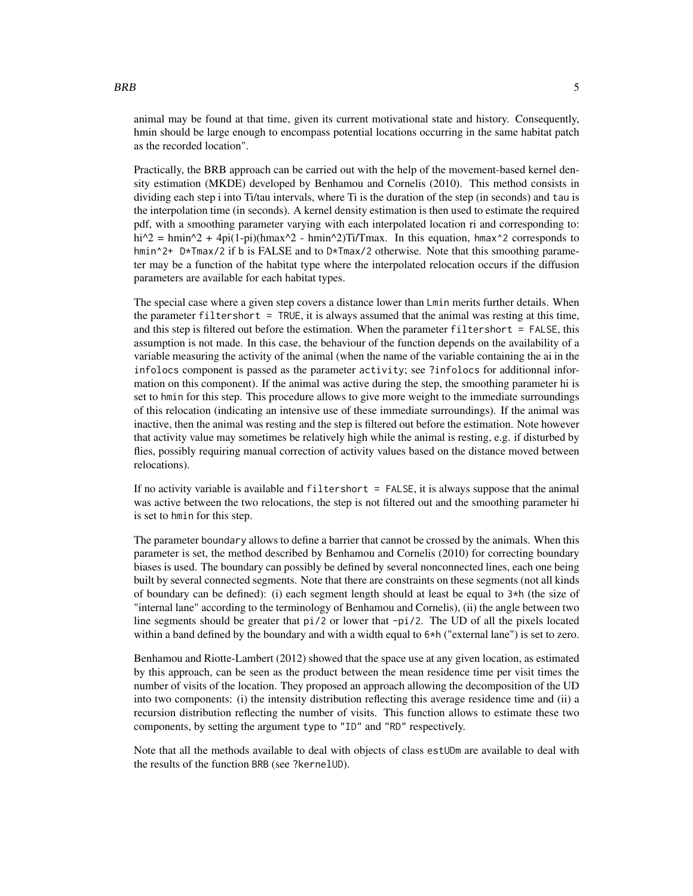animal may be found at that time, given its current motivational state and history. Consequently, hmin should be large enough to encompass potential locations occurring in the same habitat patch as the recorded location".

Practically, the BRB approach can be carried out with the help of the movement-based kernel density estimation (MKDE) developed by Benhamou and Cornelis (2010). This method consists in dividing each step i into Ti/tau intervals, where Ti is the duration of the step (in seconds) and tau is the interpolation time (in seconds). A kernel density estimation is then used to estimate the required pdf, with a smoothing parameter varying with each interpolated location ri and corresponding to: hi^2 = hmin^2 + 4pi(1-pi)(hmax^2 - hmin^2)Ti/Tmax. In this equation, hmax^2 corresponds to hmin<sup> $\gamma$ +</sup> D\*Tmax/2 if b is FALSE and to D\*Tmax/2 otherwise. Note that this smoothing parameter may be a function of the habitat type where the interpolated relocation occurs if the diffusion parameters are available for each habitat types.

The special case where a given step covers a distance lower than Lmin merits further details. When the parameter filtershort = TRUE, it is always assumed that the animal was resting at this time, and this step is filtered out before the estimation. When the parameter filtershort = FALSE, this assumption is not made. In this case, the behaviour of the function depends on the availability of a variable measuring the activity of the animal (when the name of the variable containing the ai in the infolocs component is passed as the parameter activity; see ?infolocs for additionnal information on this component). If the animal was active during the step, the smoothing parameter hi is set to hmin for this step. This procedure allows to give more weight to the immediate surroundings of this relocation (indicating an intensive use of these immediate surroundings). If the animal was inactive, then the animal was resting and the step is filtered out before the estimation. Note however that activity value may sometimes be relatively high while the animal is resting, e.g. if disturbed by flies, possibly requiring manual correction of activity values based on the distance moved between relocations).

If no activity variable is available and filtershort = FALSE, it is always suppose that the animal was active between the two relocations, the step is not filtered out and the smoothing parameter hi is set to hmin for this step.

The parameter boundary allows to define a barrier that cannot be crossed by the animals. When this parameter is set, the method described by Benhamou and Cornelis (2010) for correcting boundary biases is used. The boundary can possibly be defined by several nonconnected lines, each one being built by several connected segments. Note that there are constraints on these segments (not all kinds of boundary can be defined): (i) each segment length should at least be equal to 3\*h (the size of "internal lane" according to the terminology of Benhamou and Cornelis), (ii) the angle between two line segments should be greater that pi/2 or lower that -pi/2. The UD of all the pixels located within a band defined by the boundary and with a width equal to 6\*h ("external lane") is set to zero.

Benhamou and Riotte-Lambert (2012) showed that the space use at any given location, as estimated by this approach, can be seen as the product between the mean residence time per visit times the number of visits of the location. They proposed an approach allowing the decomposition of the UD into two components: (i) the intensity distribution reflecting this average residence time and (ii) a recursion distribution reflecting the number of visits. This function allows to estimate these two components, by setting the argument type to "ID" and "RD" respectively.

Note that all the methods available to deal with objects of class estUDm are available to deal with the results of the function BRB (see ?kernelUD).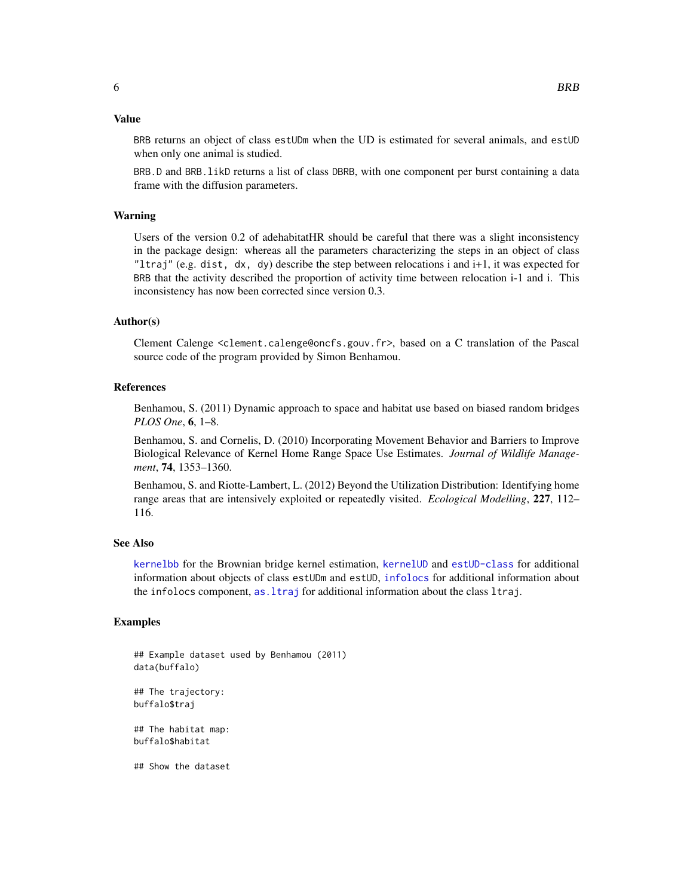#### <span id="page-5-0"></span>Value

BRB returns an object of class estUDm when the UD is estimated for several animals, and estUD when only one animal is studied.

BRB.D and BRB.likD returns a list of class DBRB, with one component per burst containing a data frame with the diffusion parameters.

#### Warning

Users of the version 0.2 of adehabitatHR should be careful that there was a slight inconsistency in the package design: whereas all the parameters characterizing the steps in an object of class "ltraj" (e.g. dist, dx, dy) describe the step between relocations i and i+1, it was expected for BRB that the activity described the proportion of activity time between relocation i-1 and i. This inconsistency has now been corrected since version 0.3.

#### Author(s)

Clement Calenge <clement.calenge@oncfs.gouv.fr>, based on a C translation of the Pascal source code of the program provided by Simon Benhamou.

#### References

Benhamou, S. (2011) Dynamic approach to space and habitat use based on biased random bridges *PLOS One*, 6, 1–8.

Benhamou, S. and Cornelis, D. (2010) Incorporating Movement Behavior and Barriers to Improve Biological Relevance of Kernel Home Range Space Use Estimates. *Journal of Wildlife Management*, 74, 1353–1360.

Benhamou, S. and Riotte-Lambert, L. (2012) Beyond the Utilization Distribution: Identifying home range areas that are intensively exploited or repeatedly visited. *Ecological Modelling*, 227, 112– 116.

#### See Also

[kernelbb](#page-14-1) for the Brownian bridge kernel estimation, [kernelUD](#page-30-1) and [estUD-class](#page-10-1) for additional information about objects of class estUDm and estUD, [infolocs](#page-0-0) for additional information about the infolocs component, [as.ltraj](#page-0-0) for additional information about the class ltraj.

#### Examples

```
## Example dataset used by Benhamou (2011)
data(buffalo)
## The trajectory:
buffalo$traj
## The habitat map:
buffalo$habitat
## Show the dataset
```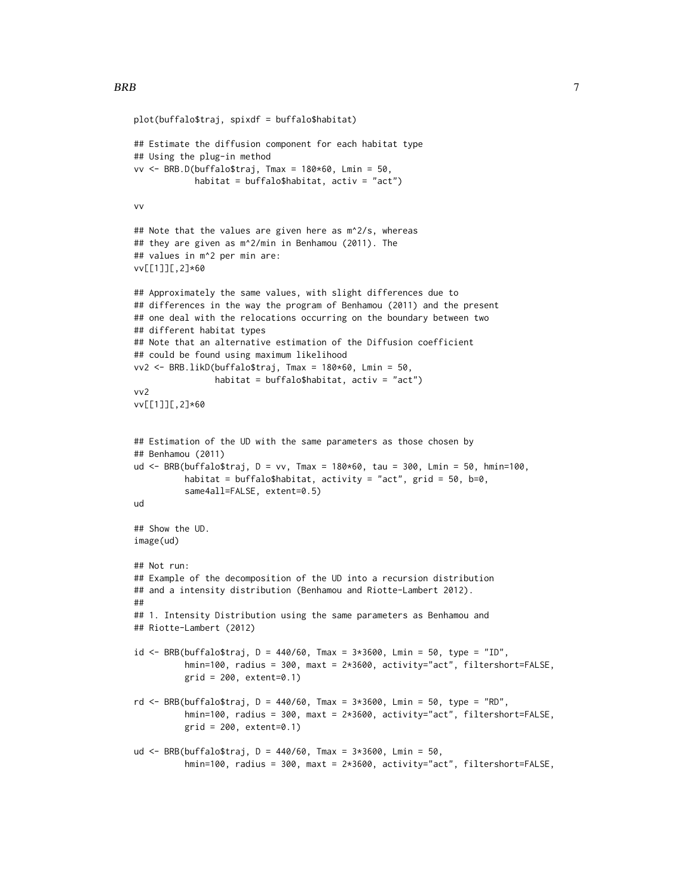```
plot(buffalo$traj, spixdf = buffalo$habitat)
## Estimate the diffusion component for each habitat type
## Using the plug-in method
vv <- BRB.D(buffalo$traj, Tmax = 180*60, Lmin = 50,
            habitat = buffalo$habitat, activ = "act")
vv
## Note that the values are given here as m^2/s, whereas
## they are given as m^2/min in Benhamou (2011). The
## values in m^2 per min are:
vv[[1]][,2]*60
## Approximately the same values, with slight differences due to
## differences in the way the program of Benhamou (2011) and the present
## one deal with the relocations occurring on the boundary between two
## different habitat types
## Note that an alternative estimation of the Diffusion coefficient
## could be found using maximum likelihood
vv2 <- BRB.likD(buffalo$traj, Tmax = 180*60, Lmin = 50,
                habitat = buffalo$habitat, activ = "act")
vv2
vv[[1]][,2]*60
## Estimation of the UD with the same parameters as those chosen by
## Benhamou (2011)
ud <- BRB(buffalo$traj, D = vv, Tmax = 180*60, tau = 300, Lmin = 50, hmin=100,
          habitat = buffalo$habitat, activity = "act", grid = 50, b=0,
          same4all=FALSE, extent=0.5)
ud
## Show the UD.
image(ud)
## Not run:
## Example of the decomposition of the UD into a recursion distribution
## and a intensity distribution (Benhamou and Riotte-Lambert 2012).
##
## 1. Intensity Distribution using the same parameters as Benhamou and
## Riotte-Lambert (2012)
id <- BRB(buffalo$traj, D = 440/60, Tmax = 3*3600, Lmin = 50, type = "ID",
          hmin=100, radius = 300, maxt = 2*3600, activity="act", filtershort=FALSE,
          grid = 200, extent=0.1)
rd <- BRB(buffalo$traj, D = 440/60, Tmax = 3*3600, Lmin = 50, type = "RD",
          hmin=100, radius = 300, maxt = 2*3600, activity="act", filtershort=FALSE,
          grid = 200, extent=0.1)ud <- BRB(buffalo$traj, D = 440/60, Tmax = 3*3600, Lmin = 50,
          hmin=100, radius = 300, maxt = 2*3600, activity="act", filtershort=FALSE,
```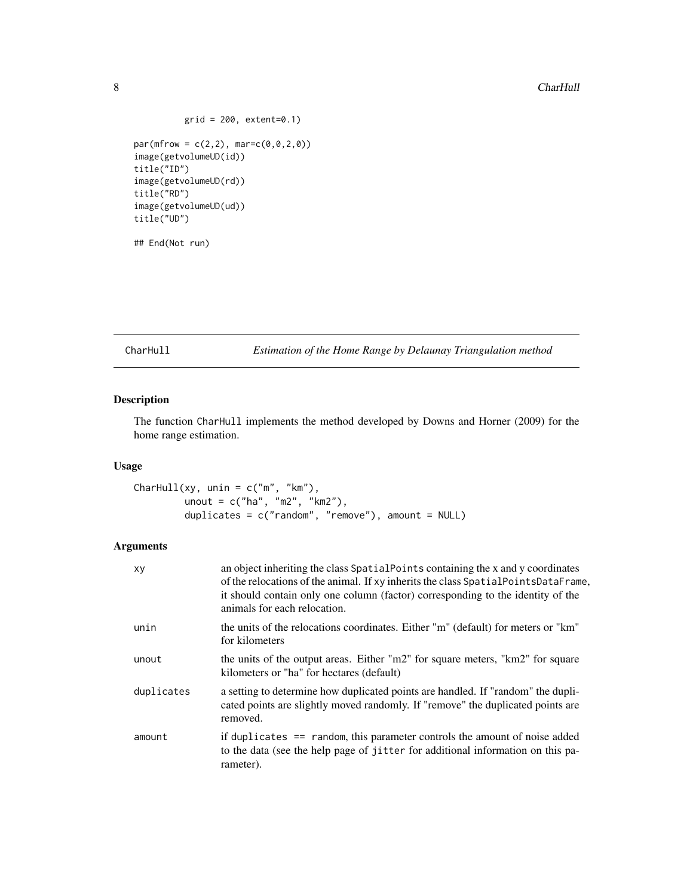$grid = 200, extent=0.1)$ 

```
par(mfrow = c(2,2), mar=c(0,0,2,0))image(getvolumeUD(id))
title("ID")
image(getvolumeUD(rd))
title("RD")
image(getvolumeUD(ud))
title("UD")
```
## End(Not run)

<span id="page-7-1"></span>CharHull *Estimation of the Home Range by Delaunay Triangulation method*

### Description

The function CharHull implements the method developed by Downs and Horner (2009) for the home range estimation.

#### Usage

```
CharHull(xy, unin = c("m", "km"),
        unout = c("ha", "m2", "km2"),duplicates = c("random", "remove"), amount = NULL)
```
#### Arguments

| xy         | an object inheriting the class Spatial Points containing the x and y coordinates<br>of the relocations of the animal. If xy inherits the class SpatialPointsDataFrame,<br>it should contain only one column (factor) corresponding to the identity of the<br>animals for each relocation. |
|------------|-------------------------------------------------------------------------------------------------------------------------------------------------------------------------------------------------------------------------------------------------------------------------------------------|
| unin       | the units of the relocations coordinates. Either "m" (default) for meters or "km"<br>for kilometers                                                                                                                                                                                       |
| unout      | the units of the output areas. Either "m2" for square meters, "km2" for square<br>kilometers or "ha" for hectares (default)                                                                                                                                                               |
| duplicates | a setting to determine how duplicated points are handled. If "random" the dupli-<br>cated points are slightly moved randomly. If "remove" the duplicated points are<br>removed.                                                                                                           |
| amount     | if duplicates == random, this parameter controls the amount of noise added<br>to the data (see the help page of jitter for additional information on this pa-<br>rameter).                                                                                                                |

<span id="page-7-0"></span>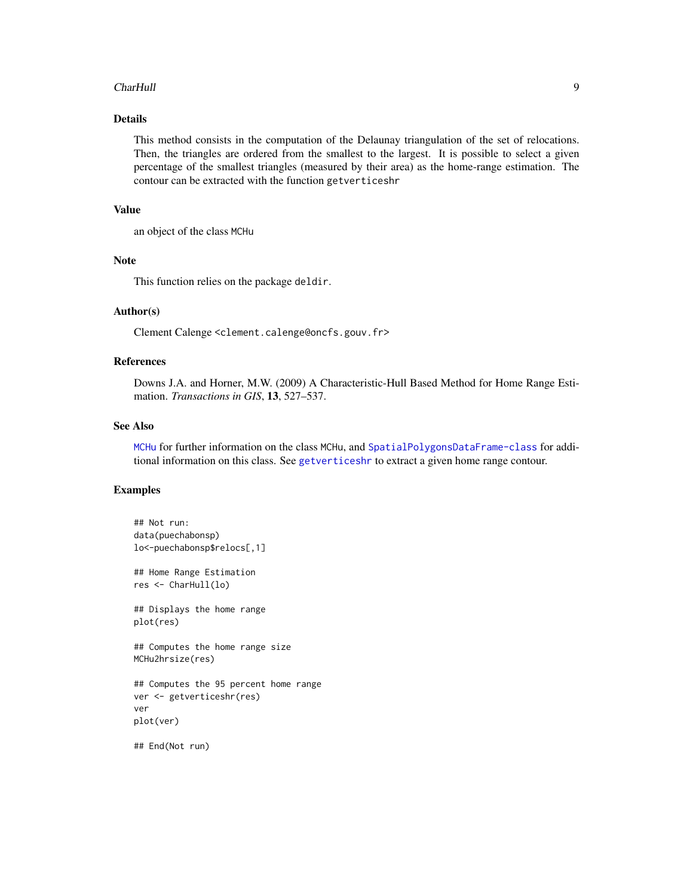#### <span id="page-8-0"></span>CharHull 9

#### Details

This method consists in the computation of the Delaunay triangulation of the set of relocations. Then, the triangles are ordered from the smallest to the largest. It is possible to select a given percentage of the smallest triangles (measured by their area) as the home-range estimation. The contour can be extracted with the function getverticeshr

#### Value

an object of the class MCHu

#### Note

This function relies on the package deldir.

#### Author(s)

Clement Calenge <clement.calenge@oncfs.gouv.fr>

#### References

Downs J.A. and Horner, M.W. (2009) A Characteristic-Hull Based Method for Home Range Estimation. *Transactions in GIS*, 13, 527–537.

#### See Also

[MCHu](#page-40-1) for further information on the class MCHu, and [SpatialPolygonsDataFrame-class](#page-0-0) for additional information on this class. See [getverticeshr](#page-13-1) to extract a given home range contour.

#### Examples

```
## Not run:
data(puechabonsp)
lo<-puechabonsp$relocs[,1]
## Home Range Estimation
res <- CharHull(lo)
## Displays the home range
plot(res)
## Computes the home range size
MCHu2hrsize(res)
## Computes the 95 percent home range
ver <- getverticeshr(res)
ver
plot(ver)
## End(Not run)
```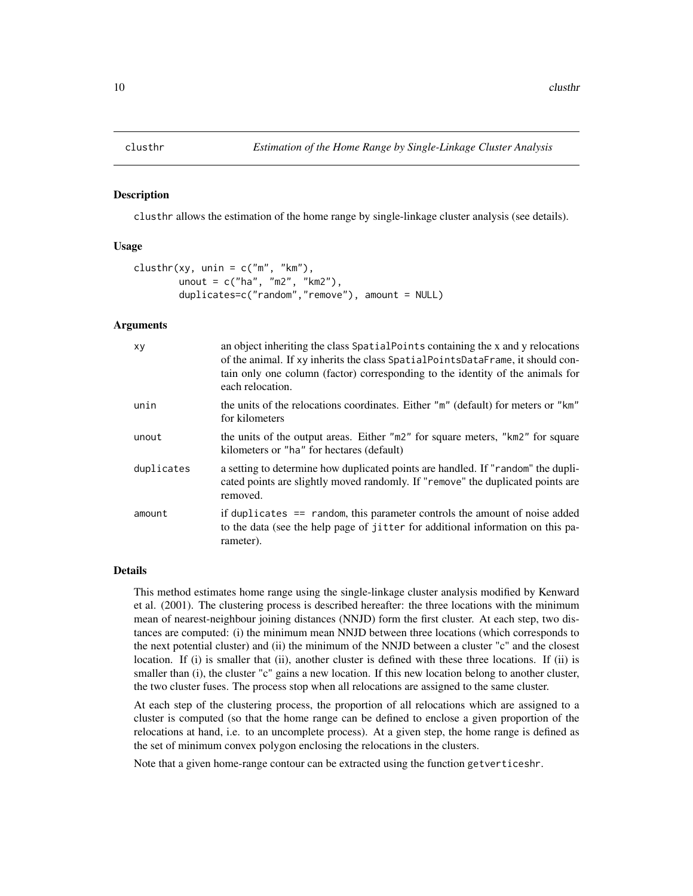#### <span id="page-9-1"></span><span id="page-9-0"></span>Description

clusthr allows the estimation of the home range by single-linkage cluster analysis (see details).

#### Usage

```
clusthr(xy, unin = c("m", "km"),
       unout = c("ha", "m2", "km2"),
       duplicates=c("random","remove"), amount = NULL)
```
#### Arguments

| xy         | an object inheriting the class SpatialPoints containing the x and y relocations<br>of the animal. If xy inherits the class SpatialPointsDataFrame, it should con-<br>tain only one column (factor) corresponding to the identity of the animals for<br>each relocation. |
|------------|-------------------------------------------------------------------------------------------------------------------------------------------------------------------------------------------------------------------------------------------------------------------------|
| unin       | the units of the relocations coordinates. Either "m" (default) for meters or "km"<br>for kilometers                                                                                                                                                                     |
| unout      | the units of the output areas. Either "m2" for square meters, "km2" for square<br>kilometers or "ha" for hectares (default)                                                                                                                                             |
| duplicates | a setting to determine how duplicated points are handled. If "random" the dupli-<br>cated points are slightly moved randomly. If "remove" the duplicated points are<br>removed.                                                                                         |
| amount     | if duplicates == random, this parameter controls the amount of noise added<br>to the data (see the help page of jitter for additional information on this pa-<br>rameter).                                                                                              |

#### Details

This method estimates home range using the single-linkage cluster analysis modified by Kenward et al. (2001). The clustering process is described hereafter: the three locations with the minimum mean of nearest-neighbour joining distances (NNJD) form the first cluster. At each step, two distances are computed: (i) the minimum mean NNJD between three locations (which corresponds to the next potential cluster) and (ii) the minimum of the NNJD between a cluster "c" and the closest location. If (i) is smaller that (ii), another cluster is defined with these three locations. If (ii) is smaller than (i), the cluster "c" gains a new location. If this new location belong to another cluster, the two cluster fuses. The process stop when all relocations are assigned to the same cluster.

At each step of the clustering process, the proportion of all relocations which are assigned to a cluster is computed (so that the home range can be defined to enclose a given proportion of the relocations at hand, i.e. to an uncomplete process). At a given step, the home range is defined as the set of minimum convex polygon enclosing the relocations in the clusters.

Note that a given home-range contour can be extracted using the function getverticeshr.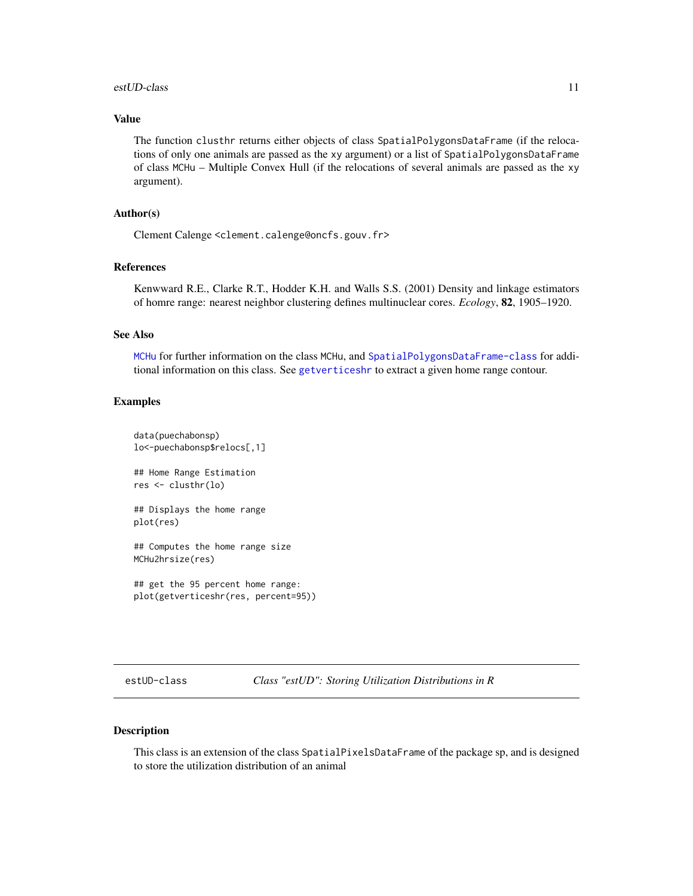#### <span id="page-10-0"></span>estUD-class 11

#### Value

The function clusthr returns either objects of class SpatialPolygonsDataFrame (if the relocations of only one animals are passed as the xy argument) or a list of SpatialPolygonsDataFrame of class MCHu – Multiple Convex Hull (if the relocations of several animals are passed as the xy argument).

#### Author(s)

Clement Calenge <clement.calenge@oncfs.gouv.fr>

#### References

Kenwward R.E., Clarke R.T., Hodder K.H. and Walls S.S. (2001) Density and linkage estimators of homre range: nearest neighbor clustering defines multinuclear cores. *Ecology*, 82, 1905–1920.

#### See Also

[MCHu](#page-40-1) for further information on the class MCHu, and [SpatialPolygonsDataFrame-class](#page-0-0) for additional information on this class. See [getverticeshr](#page-13-1) to extract a given home range contour.

#### Examples

```
data(puechabonsp)
lo<-puechabonsp$relocs[,1]
## Home Range Estimation
res <- clusthr(lo)
## Displays the home range
plot(res)
## Computes the home range size
MCHu2hrsize(res)
## get the 95 percent home range:
```
plot(getverticeshr(res, percent=95))

<span id="page-10-1"></span>estUD-class *Class "estUD": Storing Utilization Distributions in R*

#### Description

This class is an extension of the class SpatialPixelsDataFrame of the package sp, and is designed to store the utilization distribution of an animal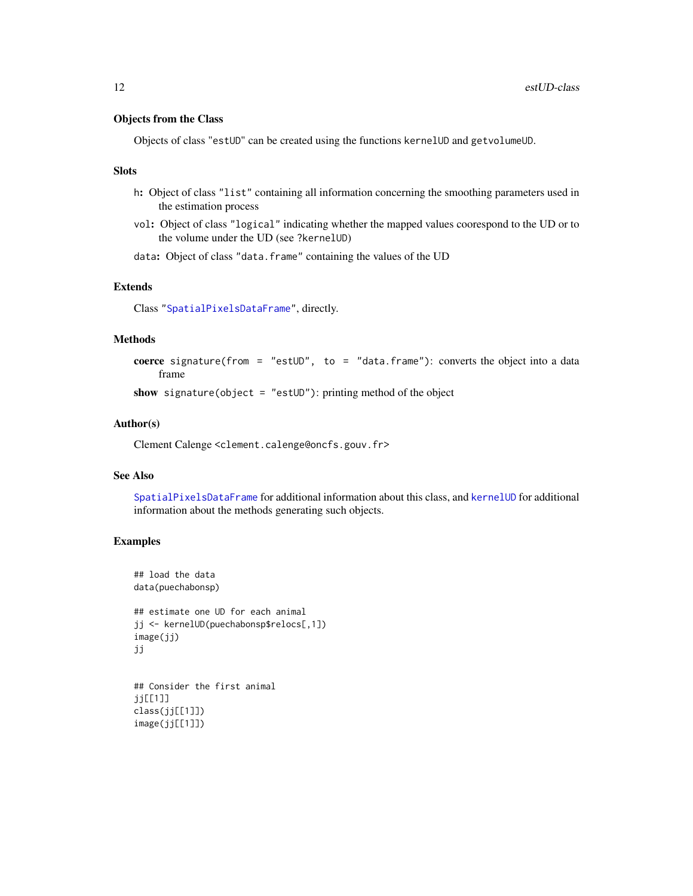#### <span id="page-11-0"></span>Objects from the Class

Objects of class "estUD" can be created using the functions kernelUD and getvolumeUD.

#### **Slots**

- h: Object of class "list" containing all information concerning the smoothing parameters used in the estimation process
- vol: Object of class "logical" indicating whether the mapped values coorespond to the UD or to the volume under the UD (see ?kernelUD)
- data: Object of class "data.frame" containing the values of the UD

#### Extends

Class ["SpatialPixelsDataFrame"](#page-0-0), directly.

#### Methods

```
coerce signature(from = "estUD", to = "data.frame"): converts the object into a data
    frame
```
show signature(object = "estUD"): printing method of the object

#### Author(s)

Clement Calenge <clement.calenge@oncfs.gouv.fr>

#### See Also

[SpatialPixelsDataFrame](#page-0-0) for additional information about this class, and [kernelUD](#page-30-1) for additional information about the methods generating such objects.

#### Examples

image(jj[[1]])

```
## load the data
data(puechabonsp)
## estimate one UD for each animal
jj <- kernelUD(puechabonsp$relocs[,1])
image(jj)
jj
## Consider the first animal
jj[[1]]
class(jj[[1]])
```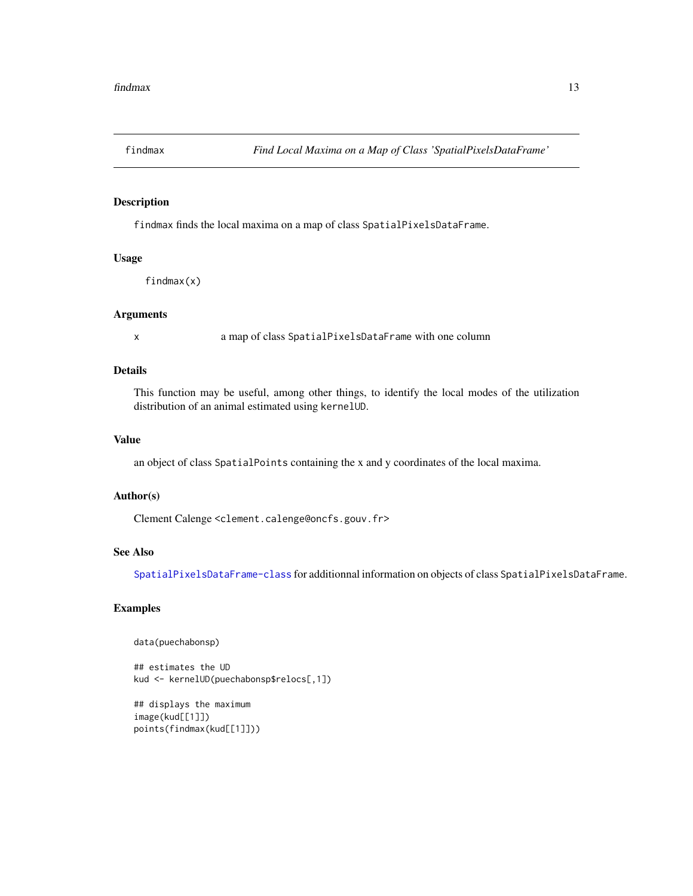<span id="page-12-0"></span>

#### Description

findmax finds the local maxima on a map of class SpatialPixelsDataFrame.

#### Usage

findmax(x)

#### Arguments

x a map of class SpatialPixelsDataFrame with one column

#### Details

This function may be useful, among other things, to identify the local modes of the utilization distribution of an animal estimated using kernelUD.

#### Value

an object of class SpatialPoints containing the x and y coordinates of the local maxima.

#### Author(s)

Clement Calenge <clement.calenge@oncfs.gouv.fr>

#### See Also

[SpatialPixelsDataFrame-class](#page-0-0) for additionnal information on objects of class SpatialPixelsDataFrame.

#### Examples

data(puechabonsp)

## estimates the UD kud <- kernelUD(puechabonsp\$relocs[,1])

## displays the maximum image(kud[[1]]) points(findmax(kud[[1]]))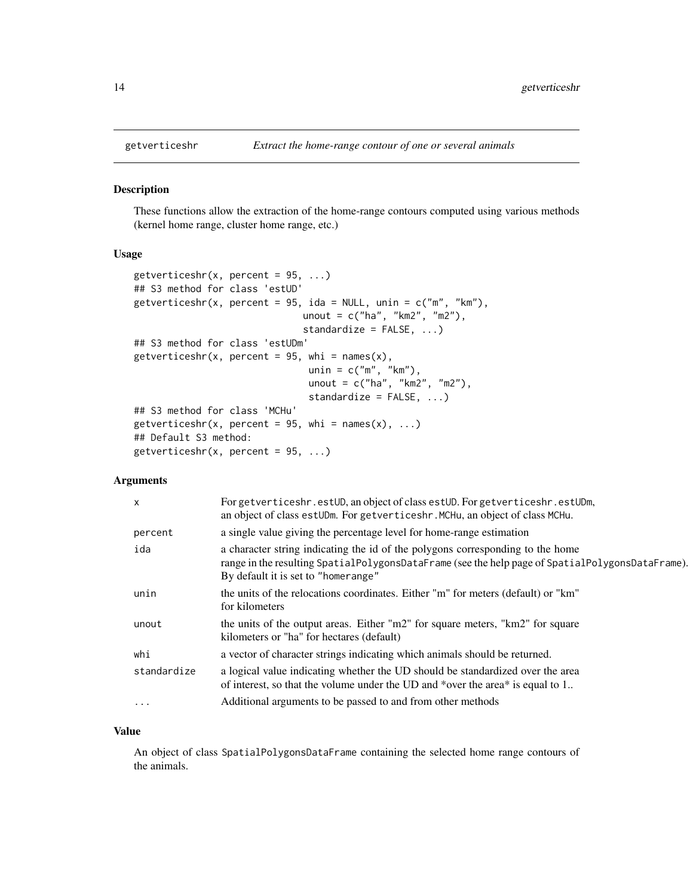<span id="page-13-1"></span><span id="page-13-0"></span>

#### Description

These functions allow the extraction of the home-range contours computed using various methods (kernel home range, cluster home range, etc.)

#### Usage

```
getverticeshr(x, percent = 95, ...)
## S3 method for class 'estUD'
getverticeshr(x, percent = 95, ida = NULL, unin = c("m", "km"),
                              unout = c("ha", "km2", "m2"),
                              standardize = FALSE, ...)
## S3 method for class 'estUDm'
getverticeshr(x, percent = 95, whi = names(x),
                               unin = c("m", "km"),
                               unout = c("ha", "km2", "m2"),
                               standardize = FALSE, ...)
## S3 method for class 'MCHu'
getverticeshr(x, percent = 95, whi = names(x), ...)
## Default S3 method:
getverticeshr(x, percent = 95, ...)
```
#### Arguments

| X           | For getverticeshr.estUD, an object of class estUD. For getverticeshr.estUDm,<br>an object of class est UDm. For get vertices hr. MCHu, an object of class MCHu.                                                           |
|-------------|---------------------------------------------------------------------------------------------------------------------------------------------------------------------------------------------------------------------------|
| percent     | a single value giving the percentage level for home-range estimation                                                                                                                                                      |
| ida         | a character string indicating the id of the polygons corresponding to the home<br>range in the resulting SpatialPolygonsDataFrame (see the help page of SpatialPolygonsDataFrame).<br>By default it is set to "homerange" |
| unin        | the units of the relocations coordinates. Either "m" for meters (default) or "km"<br>for kilometers                                                                                                                       |
| unout       | the units of the output areas. Either "m2" for square meters, "km2" for square<br>kilometers or "ha" for hectares (default)                                                                                               |
| whi         | a vector of character strings indicating which animals should be returned.                                                                                                                                                |
| standardize | a logical value indicating whether the UD should be standardized over the area<br>of interest, so that the volume under the UD and *over the area* is equal to 1                                                          |
| $\cdots$    | Additional arguments to be passed to and from other methods                                                                                                                                                               |
|             |                                                                                                                                                                                                                           |

#### Value

An object of class SpatialPolygonsDataFrame containing the selected home range contours of the animals.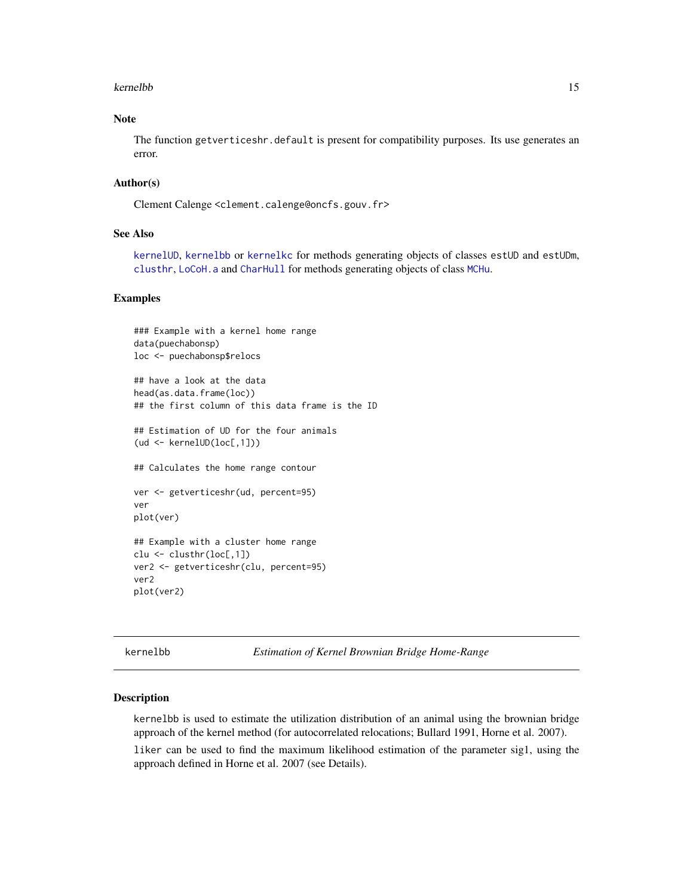#### <span id="page-14-0"></span>Note

The function getverticeshr.default is present for compatibility purposes. Its use generates an error.

#### Author(s)

Clement Calenge <clement.calenge@oncfs.gouv.fr>

#### See Also

[kernelUD](#page-30-1), [kernelbb](#page-14-1) or [kernelkc](#page-19-1) for methods generating objects of classes estUD and estUDm, [clusthr](#page-9-1), [LoCoH.a](#page-37-1) and [CharHull](#page-7-1) for methods generating objects of class [MCHu](#page-40-1).

#### Examples

```
### Example with a kernel home range
data(puechabonsp)
loc <- puechabonsp$relocs
## have a look at the data
head(as.data.frame(loc))
## the first column of this data frame is the ID
## Estimation of UD for the four animals
(ud <- kernelUD(loc[,1]))
## Calculates the home range contour
ver <- getverticeshr(ud, percent=95)
ver
plot(ver)
## Example with a cluster home range
clu <- clusthr(loc[,1])
ver2 <- getverticeshr(clu, percent=95)
ver2
plot(ver2)
```
<span id="page-14-1"></span>kernelbb *Estimation of Kernel Brownian Bridge Home-Range*

#### Description

kernelbb is used to estimate the utilization distribution of an animal using the brownian bridge approach of the kernel method (for autocorrelated relocations; Bullard 1991, Horne et al. 2007).

liker can be used to find the maximum likelihood estimation of the parameter sig1, using the approach defined in Horne et al. 2007 (see Details).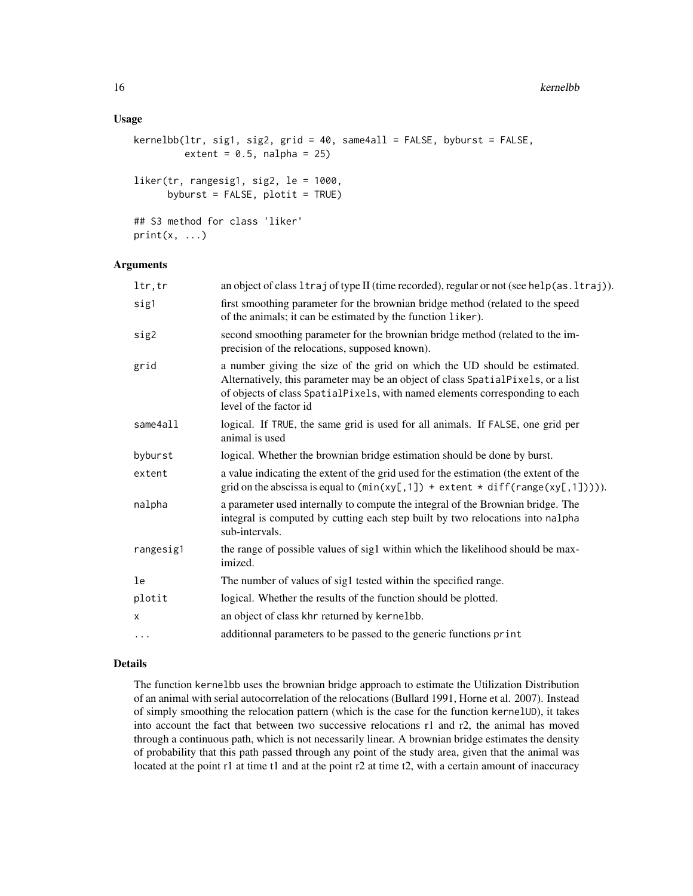#### Usage

```
kernelbb(ltr, sig1, sig2, grid = 40, same4all = FALSE, byburst = FALSE,
         extent = 0.5, nalpha = 25)
liker(tr, rangesig1, sig2, le = 1000,
      byburst = FALSE, plotit = TRUE)
## S3 method for class 'liker'
print(x, \ldots)
```
#### Arguments

| ltr, tr   | an object of class 1 traj of type II (time recorded), regular or not (see help(as. 1 traj)).                                                                                                                                                                            |
|-----------|-------------------------------------------------------------------------------------------------------------------------------------------------------------------------------------------------------------------------------------------------------------------------|
| sig1      | first smoothing parameter for the brownian bridge method (related to the speed<br>of the animals; it can be estimated by the function liker).                                                                                                                           |
| sig2      | second smoothing parameter for the brownian bridge method (related to the im-<br>precision of the relocations, supposed known).                                                                                                                                         |
| grid      | a number giving the size of the grid on which the UD should be estimated.<br>Alternatively, this parameter may be an object of class SpatialPixels, or a list<br>of objects of class SpatialPixels, with named elements corresponding to each<br>level of the factor id |
| same4all  | logical. If TRUE, the same grid is used for all animals. If FALSE, one grid per<br>animal is used                                                                                                                                                                       |
| byburst   | logical. Whether the brownian bridge estimation should be done by burst.                                                                                                                                                                                                |
| extent    | a value indicating the extent of the grid used for the estimation (the extent of the<br>grid on the abscissa is equal to $(min(xy[,1]) + extent * diff(range(xy[,1]))$ .                                                                                                |
| nalpha    | a parameter used internally to compute the integral of the Brownian bridge. The<br>integral is computed by cutting each step built by two relocations into na1pha<br>sub-intervals.                                                                                     |
| rangesig1 | the range of possible values of sig1 within which the likelihood should be max-<br>imized.                                                                                                                                                                              |
| le        | The number of values of sig1 tested within the specified range.                                                                                                                                                                                                         |
| plotit    | logical. Whether the results of the function should be plotted.                                                                                                                                                                                                         |
| x         | an object of class khr returned by kernelbb.                                                                                                                                                                                                                            |
| $\cdots$  | additionnal parameters to be passed to the generic functions print                                                                                                                                                                                                      |
|           |                                                                                                                                                                                                                                                                         |

#### Details

The function kernelbb uses the brownian bridge approach to estimate the Utilization Distribution of an animal with serial autocorrelation of the relocations (Bullard 1991, Horne et al. 2007). Instead of simply smoothing the relocation pattern (which is the case for the function kernelUD), it takes into account the fact that between two successive relocations r1 and r2, the animal has moved through a continuous path, which is not necessarily linear. A brownian bridge estimates the density of probability that this path passed through any point of the study area, given that the animal was located at the point r1 at time t1 and at the point r2 at time t2, with a certain amount of inaccuracy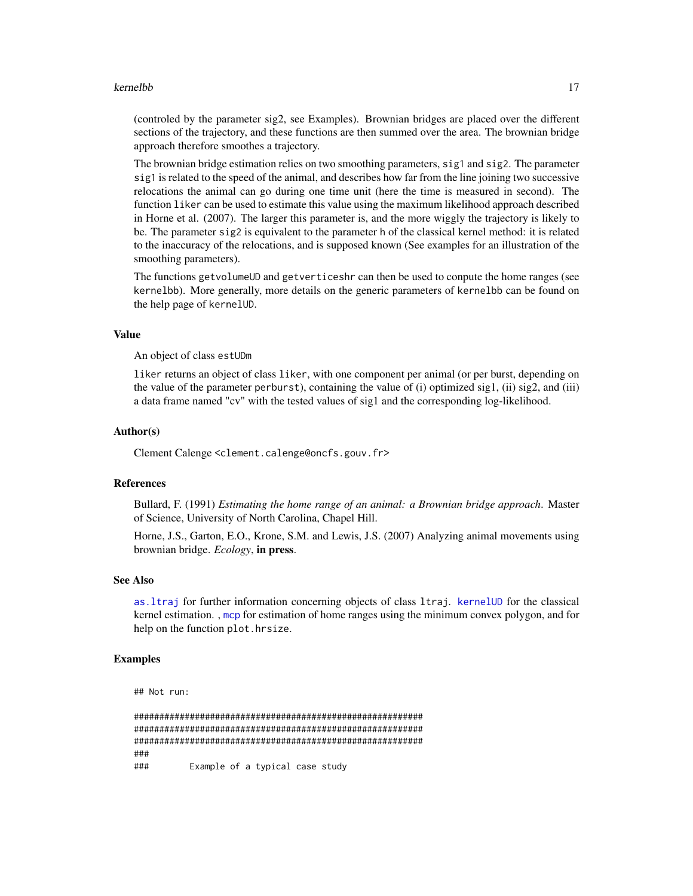<span id="page-16-0"></span>(controled by the parameter sig2, see Examples). Brownian bridges are placed over the different sections of the trajectory, and these functions are then summed over the area. The brownian bridge approach therefore smoothes a trajectory.

The brownian bridge estimation relies on two smoothing parameters, sig1 and sig2. The parameter sig1 is related to the speed of the animal, and describes how far from the line joining two successive relocations the animal can go during one time unit (here the time is measured in second). The function liker can be used to estimate this value using the maximum likelihood approach described in Horne et al. (2007). The larger this parameter is, and the more wiggly the trajectory is likely to be. The parameter sig2 is equivalent to the parameter h of the classical kernel method: it is related to the inaccuracy of the relocations, and is supposed known (See examples for an illustration of the smoothing parameters).

The functions getvolumeUD and getverticeshr can then be used to conpute the home ranges (see kernelbb). More generally, more details on the generic parameters of kernelbb can be found on the help page of kernelUD.

#### Value

An object of class estUDm

liker returns an object of class liker, with one component per animal (or per burst, depending on the value of the parameter perburst), containing the value of (i) optimized sig1, (ii) sig2, and (iii) a data frame named "cv" with the tested values of sig1 and the corresponding log-likelihood.

#### Author(s)

Clement Calenge <clement.calenge@oncfs.gouv.fr>

#### References

Bullard, F. (1991) *Estimating the home range of an animal: a Brownian bridge approach*. Master of Science, University of North Carolina, Chapel Hill.

Horne, J.S., Garton, E.O., Krone, S.M. and Lewis, J.S. (2007) Analyzing animal movements using brownian bridge. *Ecology*, in press.

#### See Also

[as.ltraj](#page-0-0) for further information concerning objects of class ltraj. [kernelUD](#page-30-1) for the classical kernel estimation. , [mcp](#page-42-1) for estimation of home ranges using the minimum convex polygon, and for help on the function plot.hrsize.

#### Examples

```
## Not run:
```
######################################################### ######################################################### ######################################################### ### ### Example of a typical case study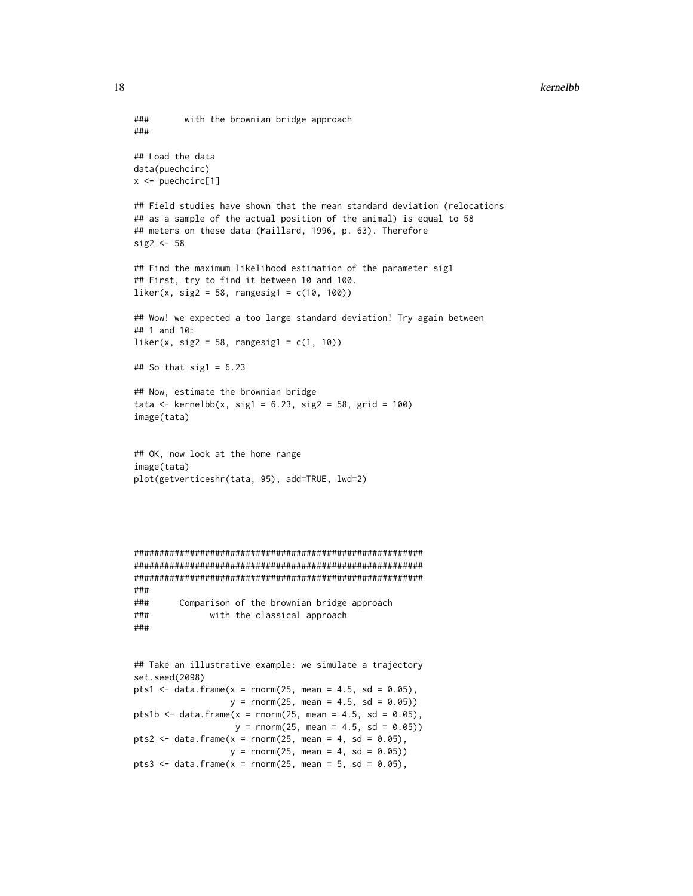```
### with the brownian bridge approach
###
## Load the data
data(puechcirc)
x \leq - puechcirc[1]
## Field studies have shown that the mean standard deviation (relocations
## as a sample of the actual position of the animal) is equal to 58
## meters on these data (Maillard, 1996, p. 63). Therefore
sig2 <- 58
## Find the maximum likelihood estimation of the parameter sig1
## First, try to find it between 10 and 100.
liker(x, sig2 = 58, rangesig1 = c(10, 100))## Wow! we expected a too large standard deviation! Try again between
## 1 and 10:
liker(x, sig2 = 58, rangesig1 = c(1, 10))## So that sig1 = 6.23## Now, estimate the brownian bridge
tata <- kernelbb(x, sig1 = 6.23, sig2 = 58, grid = 100)image(tata)
## OK, now look at the home range
image(tata)
plot(getverticeshr(tata, 95), add=TRUE, lwd=2)
#########################################################
#########################################################
#########################################################
###
### Comparison of the brownian bridge approach
### with the classical approach
###
## Take an illustrative example: we simulate a trajectory
set.seed(2098)
pts1 <- data.frame(x = rnorm(25, mean = 4.5, sd = 0.05),
                  y = rnorm(25, mean = 4.5, sd = 0.05)pts1b \le data.frame(x = rnorm(25, mean = 4.5, sd = 0.05),
                   y = rnorm(25, mean = 4.5, sd = 0.05)pts2 <- data.frame(x =rnorm(25, mean = 4, sd = 0.05),
                  y = rnorm(25, mean = 4, sd = 0.05)pts3 <- data.frame(x =rnorm(25, mean = 5, sd = 0.05),
```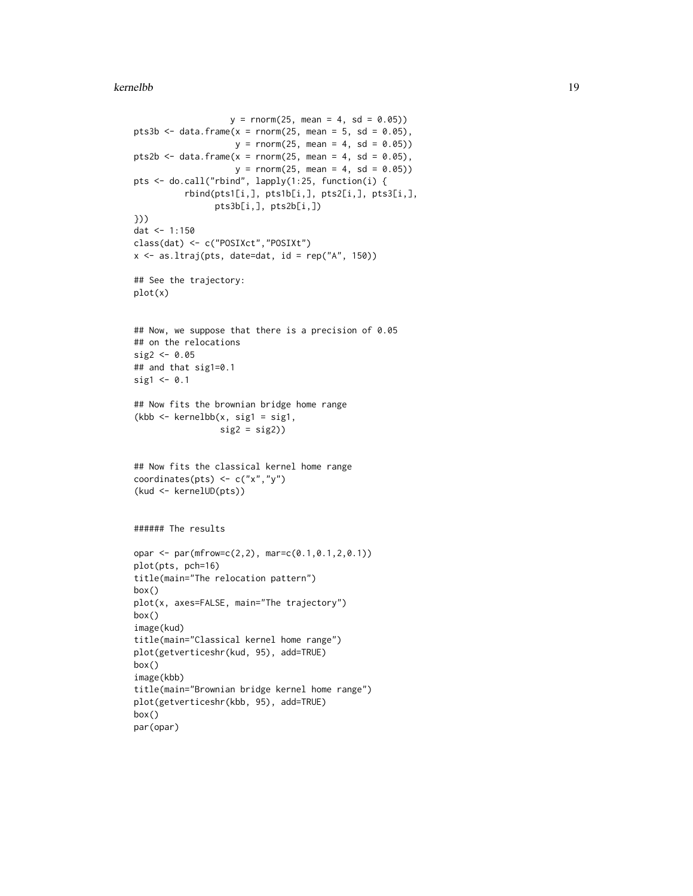```
y = rnorm(25, mean = 4, sd = 0.05)pts3b \le data.frame(x = rnorm(25, mean = 5, sd = 0.05),
                    y = rnorm(25, mean = 4, sd = 0.05)pts2b \le- data.frame(x = rnorm(25, mean = 4, sd = 0.05),
                    y = rnorm(25, mean = 4, sd = 0.05)pts <- do.call("rbind", lapply(1:25, function(i) {
          rbind(pts1[i,], pts1b[i,], pts2[i,], pts3[i,],
                pts3b[i,], pts2b[i,])
}))
dat <- 1:150
class(dat) <- c("POSIXct","POSIXt")
x \le - as.ltraj(pts, date=dat, id = rep("A", 150))
## See the trajectory:
plot(x)
## Now, we suppose that there is a precision of 0.05
## on the relocations
sig2 < -0.05## and that sig1=0.1
sig1 \leftarrow 0.1
## Now fits the brownian bridge home range
(kbb <- kernelbb(x, sig1 = sig1,
                 sig2 = sig2)## Now fits the classical kernel home range
coordinates(pts) <- c("x","y")
(kud <- kernelUD(pts))
###### The results
opar <- par(mfrow=c(2,2), mar=c(0.1,0.1,2,0.1))
plot(pts, pch=16)
title(main="The relocation pattern")
box()
plot(x, axes=FALSE, main="The trajectory")
box()
image(kud)
title(main="Classical kernel home range")
plot(getverticeshr(kud, 95), add=TRUE)
box()
image(kbb)
title(main="Brownian bridge kernel home range")
plot(getverticeshr(kbb, 95), add=TRUE)
box()
par(opar)
```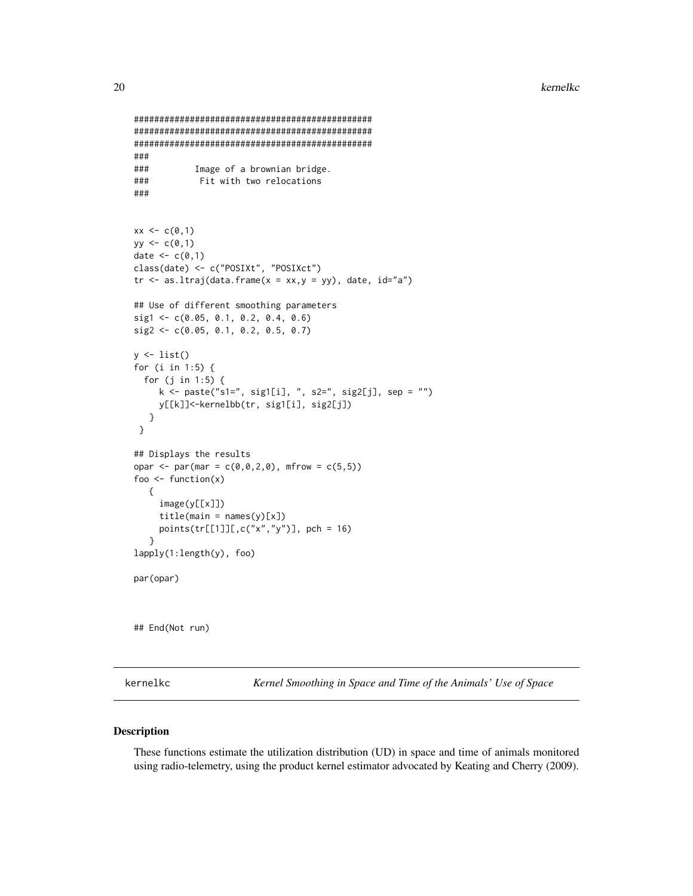```
###############################################
###############################################
###############################################
###
### Image of a brownian bridge.
### Fit with two relocations
###
xx < -c(0,1)yy \leq c(0,1)date <-c(0,1)class(date) <- c("POSIXt", "POSIXct")
tr \leq as.ltraj(data.frame(x = xx,y = yy), date, id="a")
## Use of different smoothing parameters
sig1 <- c(0.05, 0.1, 0.2, 0.4, 0.6)
sig2 <- c(0.05, 0.1, 0.2, 0.5, 0.7)
y \leftarrow list()for (i in 1:5) {
  for (j in 1:5) {
    k <- paste("s1=", sig1[i], ", s2=", sig2[j], sep = "")
     y[[k]]<-kernelbb(tr, sig1[i], sig2[j])
   }
 }
## Displays the results
opar <- par(mar = c(0,0,2,0), mfrow = c(5,5))
foo \leftarrow function(x){
     image(y[[x]])
     title(main = names(y)[x])points(tr[[1]][,c("x","y")], pch = 16)
   }
lapply(1:length(y), foo)
par(opar)
## End(Not run)
```
<span id="page-19-1"></span>

kernelkc *Kernel Smoothing in Space and Time of the Animals' Use of Space*

#### Description

These functions estimate the utilization distribution (UD) in space and time of animals monitored using radio-telemetry, using the product kernel estimator advocated by Keating and Cherry (2009).

<span id="page-19-0"></span>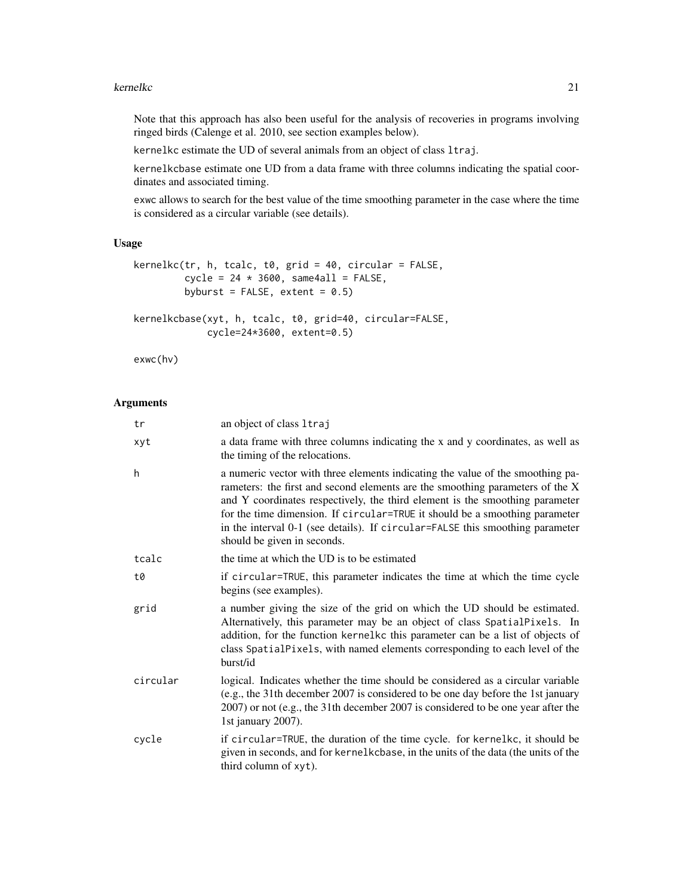Note that this approach has also been useful for the analysis of recoveries in programs involving ringed birds (Calenge et al. 2010, see section examples below).

kernelkc estimate the UD of several animals from an object of class ltraj.

kernelkcbase estimate one UD from a data frame with three columns indicating the spatial coordinates and associated timing.

exwc allows to search for the best value of the time smoothing parameter in the case where the time is considered as a circular variable (see details).

#### Usage

```
kernelkc(tr, h, tcalc, t0, grid = 40, circular = FALSE,
         cycle = 24 * 3600, same4all = FALSE,
         byburst = FALSE, extent = 0.5)kernelkcbase(xyt, h, tcalc, t0, grid=40, circular=FALSE,
             cycle=24*3600, extent=0.5)
```
exwc(hv)

#### Arguments

| tr       | an object of class 1traj                                                                                                                                                                                                                                                                                                                                                                                                                       |
|----------|------------------------------------------------------------------------------------------------------------------------------------------------------------------------------------------------------------------------------------------------------------------------------------------------------------------------------------------------------------------------------------------------------------------------------------------------|
| xyt      | a data frame with three columns indicating the x and y coordinates, as well as<br>the timing of the relocations.                                                                                                                                                                                                                                                                                                                               |
| h        | a numeric vector with three elements indicating the value of the smoothing pa-<br>rameters: the first and second elements are the smoothing parameters of the X<br>and Y coordinates respectively, the third element is the smoothing parameter<br>for the time dimension. If circular=TRUE it should be a smoothing parameter<br>in the interval 0-1 (see details). If circular=FALSE this smoothing parameter<br>should be given in seconds. |
| tcalc    | the time at which the UD is to be estimated                                                                                                                                                                                                                                                                                                                                                                                                    |
| t0       | if circular=TRUE, this parameter indicates the time at which the time cycle<br>begins (see examples).                                                                                                                                                                                                                                                                                                                                          |
| grid     | a number giving the size of the grid on which the UD should be estimated.<br>Alternatively, this parameter may be an object of class SpatialPixels. In<br>addition, for the function kernelkc this parameter can be a list of objects of<br>class SpatialPixels, with named elements corresponding to each level of the<br>burst/id                                                                                                            |
| circular | logical. Indicates whether the time should be considered as a circular variable<br>(e.g., the 31th december 2007 is considered to be one day before the 1st january<br>2007) or not (e.g., the 31th december 2007 is considered to be one year after the<br>1st january 2007).                                                                                                                                                                 |
| cycle    | if circular=TRUE, the duration of the time cycle. for kernelkc, it should be<br>given in seconds, and for kernelkcbase, in the units of the data (the units of the<br>third column of xyt).                                                                                                                                                                                                                                                    |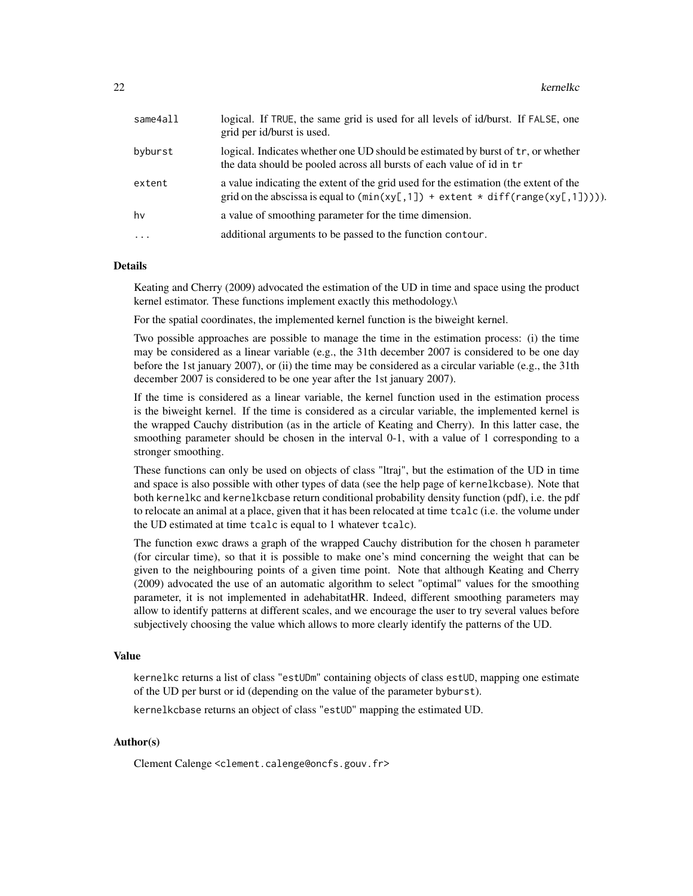| same4all   | logical. If TRUE, the same grid is used for all levels of id/burst. If FALSE, one<br>grid per id/burst is used.                                                                                       |
|------------|-------------------------------------------------------------------------------------------------------------------------------------------------------------------------------------------------------|
| byburst    | logical. Indicates whether one UD should be estimated by burst of tr, or whether<br>the data should be pooled across all bursts of each value of id in tr                                             |
| extent     | a value indicating the extent of the grid used for the estimation (the extent of the<br>grid on the abscissa is equal to $(\min(xy[, 1]) + \text{ extent} \cdot \text{diff}(\text{range}(xy[, 1]))).$ |
| hv         | a value of smoothing parameter for the time dimension.                                                                                                                                                |
| $\ddots$ . | additional arguments to be passed to the function contour.                                                                                                                                            |
|            |                                                                                                                                                                                                       |

#### Details

Keating and Cherry (2009) advocated the estimation of the UD in time and space using the product kernel estimator. These functions implement exactly this methodology.\

For the spatial coordinates, the implemented kernel function is the biweight kernel.

Two possible approaches are possible to manage the time in the estimation process: (i) the time may be considered as a linear variable (e.g., the 31th december 2007 is considered to be one day before the 1st january 2007), or (ii) the time may be considered as a circular variable (e.g., the 31th december 2007 is considered to be one year after the 1st january 2007).

If the time is considered as a linear variable, the kernel function used in the estimation process is the biweight kernel. If the time is considered as a circular variable, the implemented kernel is the wrapped Cauchy distribution (as in the article of Keating and Cherry). In this latter case, the smoothing parameter should be chosen in the interval 0-1, with a value of 1 corresponding to a stronger smoothing.

These functions can only be used on objects of class "ltraj", but the estimation of the UD in time and space is also possible with other types of data (see the help page of kernelkcbase). Note that both kernelkc and kernelkcbase return conditional probability density function (pdf), i.e. the pdf to relocate an animal at a place, given that it has been relocated at time tcalc (i.e. the volume under the UD estimated at time tcalc is equal to 1 whatever tcalc).

The function exwc draws a graph of the wrapped Cauchy distribution for the chosen h parameter (for circular time), so that it is possible to make one's mind concerning the weight that can be given to the neighbouring points of a given time point. Note that although Keating and Cherry (2009) advocated the use of an automatic algorithm to select "optimal" values for the smoothing parameter, it is not implemented in adehabitatHR. Indeed, different smoothing parameters may allow to identify patterns at different scales, and we encourage the user to try several values before subjectively choosing the value which allows to more clearly identify the patterns of the UD.

#### Value

kernelkc returns a list of class "estUDm" containing objects of class estUD, mapping one estimate of the UD per burst or id (depending on the value of the parameter byburst).

kernelkcbase returns an object of class "estUD" mapping the estimated UD.

#### Author(s)

Clement Calenge <clement.calenge@oncfs.gouv.fr>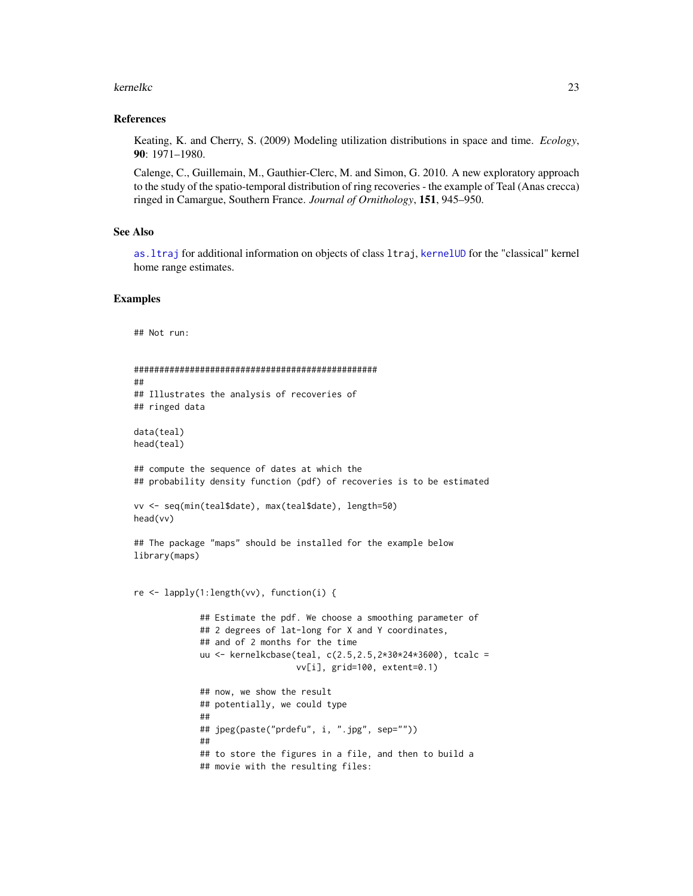#### <span id="page-22-0"></span>References

Keating, K. and Cherry, S. (2009) Modeling utilization distributions in space and time. *Ecology*, 90: 1971–1980.

Calenge, C., Guillemain, M., Gauthier-Clerc, M. and Simon, G. 2010. A new exploratory approach to the study of the spatio-temporal distribution of ring recoveries - the example of Teal (Anas crecca) ringed in Camargue, Southern France. *Journal of Ornithology*, 151, 945–950.

#### See Also

[as.ltraj](#page-0-0) for additional information on objects of class ltraj, [kernelUD](#page-30-1) for the "classical" kernel home range estimates.

#### Examples

## Not run:

```
################################################
##
## Illustrates the analysis of recoveries of
## ringed data
data(teal)
head(teal)
## compute the sequence of dates at which the
## probability density function (pdf) of recoveries is to be estimated
vv <- seq(min(teal$date), max(teal$date), length=50)
head(vv)
## The package "maps" should be installed for the example below
library(maps)
re <- lapply(1:length(vv), function(i) {
             ## Estimate the pdf. We choose a smoothing parameter of
             ## 2 degrees of lat-long for X and Y coordinates,
             ## and of 2 months for the time
             uu <- kernelkcbase(teal, c(2.5,2.5,2*30*24*3600), tcalc =
                                vv[i], grid=100, extent=0.1)
             ## now, we show the result
             ## potentially, we could type
             ##
             ## jpeg(paste("prdefu", i, ".jpg", sep=""))
             ##
             ## to store the figures in a file, and then to build a
             ## movie with the resulting files:
```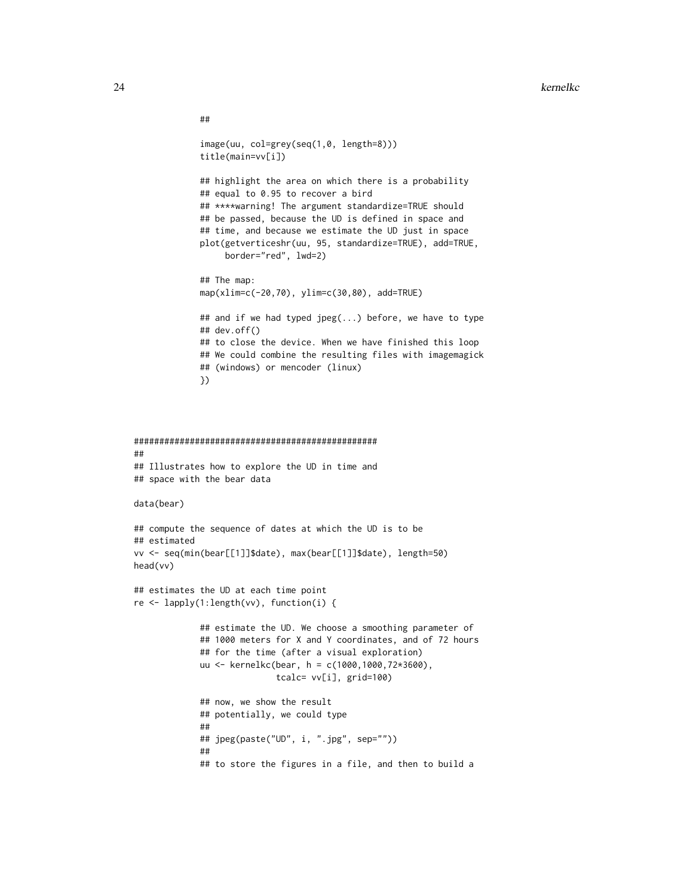```
##
             image(uu, col=grey(seq(1,0, length=8)))
             title(main=vv[i])
             ## highlight the area on which there is a probability
             ## equal to 0.95 to recover a bird
             ## ****warning! The argument standardize=TRUE should
             ## be passed, because the UD is defined in space and
             ## time, and because we estimate the UD just in space
             plot(getverticeshr(uu, 95, standardize=TRUE), add=TRUE,
                  border="red", lwd=2)
             ## The map:
             map(xlim=c(-20,70), ylim=c(30,80), add=TRUE)
             ## and if we had typed jpeg(...) before, we have to type
             ## dev.off()
             ## to close the device. When we have finished this loop
             ## We could combine the resulting files with imagemagick
             ## (windows) or mencoder (linux)
             })
################################################
##
## Illustrates how to explore the UD in time and
## space with the bear data
data(bear)
## compute the sequence of dates at which the UD is to be
## estimated
vv <- seq(min(bear[[1]]$date), max(bear[[1]]$date), length=50)
head(vv)
## estimates the UD at each time point
re <- lapply(1:length(vv), function(i) {
             ## estimate the UD. We choose a smoothing parameter of
             ## 1000 meters for X and Y coordinates, and of 72 hours
             ## for the time (after a visual exploration)
             uu <- kernelkc(bear, h = c(1000,1000,72*3600),
                            tcalc= vv[i], grid=100)
             ## now, we show the result
             ## potentially, we could type
             ##
             ## jpeg(paste("UD", i, ".jpg", sep=""))
             ##
             ## to store the figures in a file, and then to build a
```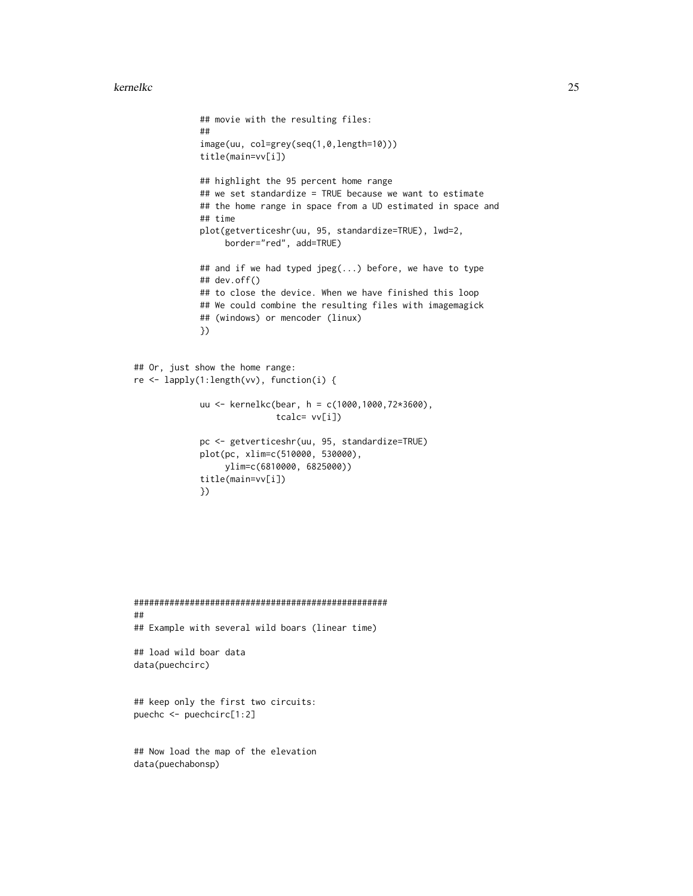```
## movie with the resulting files:
             ##
             image(uu, col=grey(seq(1,0,length=10)))
             title(main=vv[i])
             ## highlight the 95 percent home range
             ## we set standardize = TRUE because we want to estimate
             ## the home range in space from a UD estimated in space and
             ## time
             plot(getverticeshr(uu, 95, standardize=TRUE), lwd=2,
                 border="red", add=TRUE)
             ## and if we had typed jpeg(...) before, we have to type
             ## dev.off()
             ## to close the device. When we have finished this loop
             ## We could combine the resulting files with imagemagick
             ## (windows) or mencoder (linux)
             })
## Or, just show the home range:
re <- lapply(1:length(vv), function(i) {
             uu <- kernelkc(bear, h = c(1000,1000,72*3600),
                            tcalc= vv[i])
             pc <- getverticeshr(uu, 95, standardize=TRUE)
             plot(pc, xlim=c(510000, 530000),
                 ylim=c(6810000, 6825000))
             title(main=vv[i])
             })
```

```
##################################################
##
## Example with several wild boars (linear time)
## load wild boar data
```

```
data(puechcirc)
```
## keep only the first two circuits: puechc <- puechcirc[1:2]

## Now load the map of the elevation data(puechabonsp)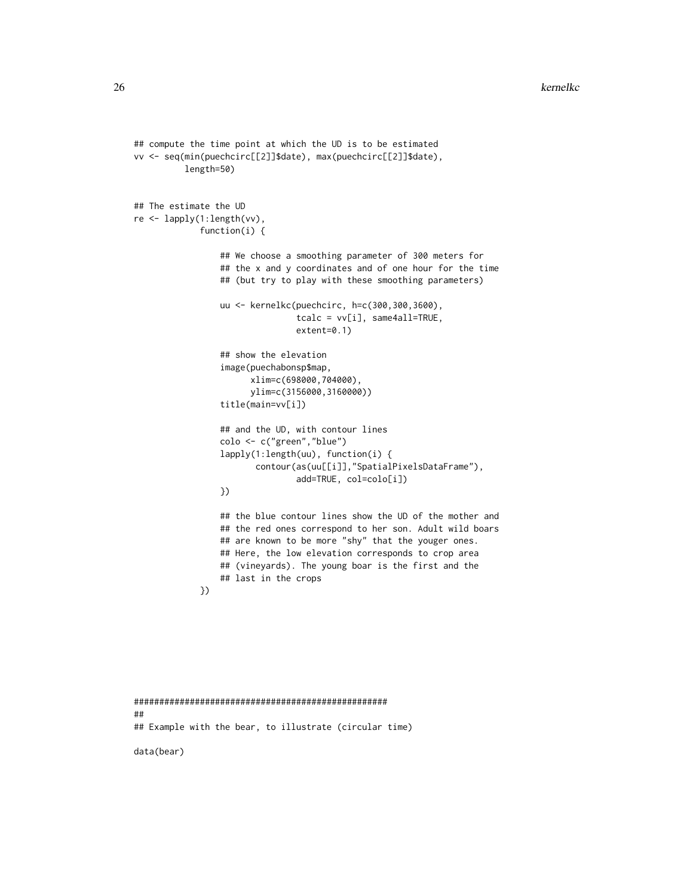```
## compute the time point at which the UD is to be estimated
vv <- seq(min(puechcirc[[2]]$date), max(puechcirc[[2]]$date),
          length=50)
## The estimate the UD
re <- lapply(1:length(vv),
             function(i) {
                 ## We choose a smoothing parameter of 300 meters for
                 ## the x and y coordinates and of one hour for the time
                 ## (but try to play with these smoothing parameters)
                 uu <- kernelkc(puechcirc, h=c(300,300,3600),
                                tcalc = vv[i], same4all=TRUE,
                                extent=0.1)
                 ## show the elevation
                 image(puechabonsp$map,
                       xlim=c(698000,704000),
                       ylim=c(3156000,3160000))
                 title(main=vv[i])
                 ## and the UD, with contour lines
                 colo <- c("green","blue")
                 lapply(1:length(uu), function(i) {
                        contour(as(uu[[i]],"SpatialPixelsDataFrame"),
                                add=TRUE, col=colo[i])
                 })
                 ## the blue contour lines show the UD of the mother and
                 ## the red ones correspond to her son. Adult wild boars
                 ## are known to be more "shy" that the youger ones.
                 ## Here, the low elevation corresponds to crop area
                 ## (vineyards). The young boar is the first and the
                 ## last in the crops
             })
```

```
##################################################
##
## Example with the bear, to illustrate (circular time)
```
data(bear)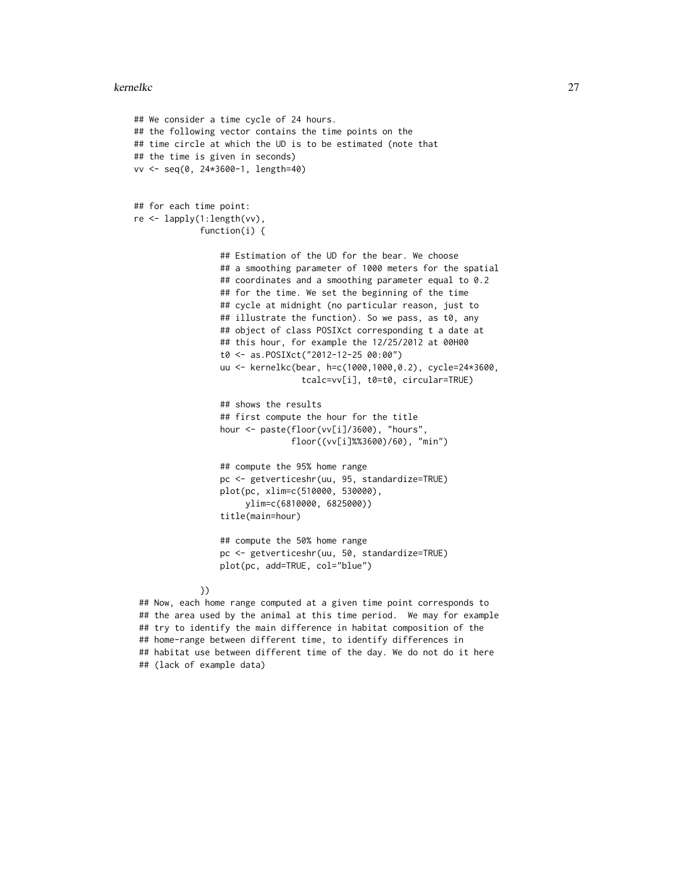```
## We consider a time cycle of 24 hours.
## the following vector contains the time points on the
## time circle at which the UD is to be estimated (note that
## the time is given in seconds)
vv <- seq(0, 24*3600-1, length=40)
## for each time point:
re <- lapply(1:length(vv),
             function(i) {
                 ## Estimation of the UD for the bear. We choose
                 ## a smoothing parameter of 1000 meters for the spatial
                 ## coordinates and a smoothing parameter equal to 0.2
                 ## for the time. We set the beginning of the time
                 ## cycle at midnight (no particular reason, just to
                 ## illustrate the function). So we pass, as t0, any
                 ## object of class POSIXct corresponding t a date at
                 ## this hour, for example the 12/25/2012 at 00H00
                 t0 <- as.POSIXct("2012-12-25 00:00")
                 uu <- kernelkc(bear, h=c(1000,1000,0.2), cycle=24*3600,
                                 tcalc=vv[i], t0=t0, circular=TRUE)
                 ## shows the results
                 ## first compute the hour for the title
                 hour <- paste(floor(vv[i]/3600), "hours",
                               floor((vv[i]%%3600)/60), "min")
                 ## compute the 95% home range
                 pc <- getverticeshr(uu, 95, standardize=TRUE)
                 plot(pc, xlim=c(510000, 530000),
                      ylim=c(6810000, 6825000))
                 title(main=hour)
                 ## compute the 50% home range
                 pc <- getverticeshr(uu, 50, standardize=TRUE)
                 plot(pc, add=TRUE, col="blue")
             })
```
## Now, each home range computed at a given time point corresponds to ## the area used by the animal at this time period. We may for example ## try to identify the main difference in habitat composition of the ## home-range between different time, to identify differences in ## habitat use between different time of the day. We do not do it here ## (lack of example data)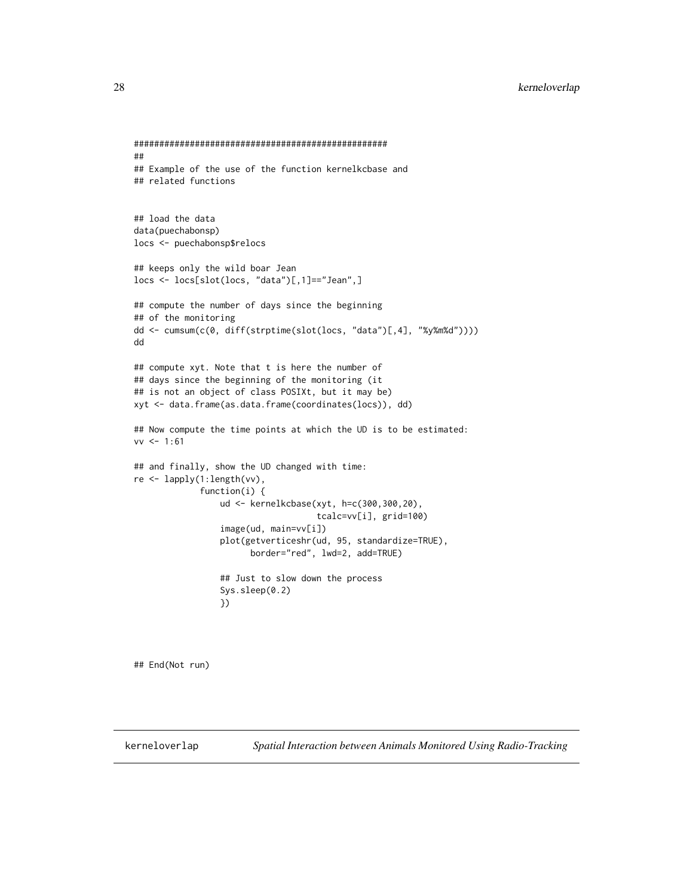```
##################################################
##
## Example of the use of the function kernelkcbase and
## related functions
## load the data
data(puechabonsp)
locs <- puechabonsp$relocs
## keeps only the wild boar Jean
locs <- locs[slot(locs, "data")[,1]=="Jean",]
## compute the number of days since the beginning
## of the monitoring
dd <- cumsum(c(0, diff(strptime(slot(locs, "data")[,4], "%y%m%d"))))
dd
## compute xyt. Note that t is here the number of
## days since the beginning of the monitoring (it
## is not an object of class POSIXt, but it may be)
xyt <- data.frame(as.data.frame(coordinates(locs)), dd)
## Now compute the time points at which the UD is to be estimated:
vv \le -1:61## and finally, show the UD changed with time:
re <- lapply(1:length(vv),
             function(i) {
                 ud <- kernelkcbase(xyt, h=c(300,300,20),
                                    tcalc=vv[i], grid=100)
                 image(ud, main=vv[i])
                 plot(getverticeshr(ud, 95, standardize=TRUE),
                       border="red", lwd=2, add=TRUE)
                 ## Just to slow down the process
                 Sys.sleep(0.2)
                 })
```
## End(Not run)

<span id="page-27-0"></span>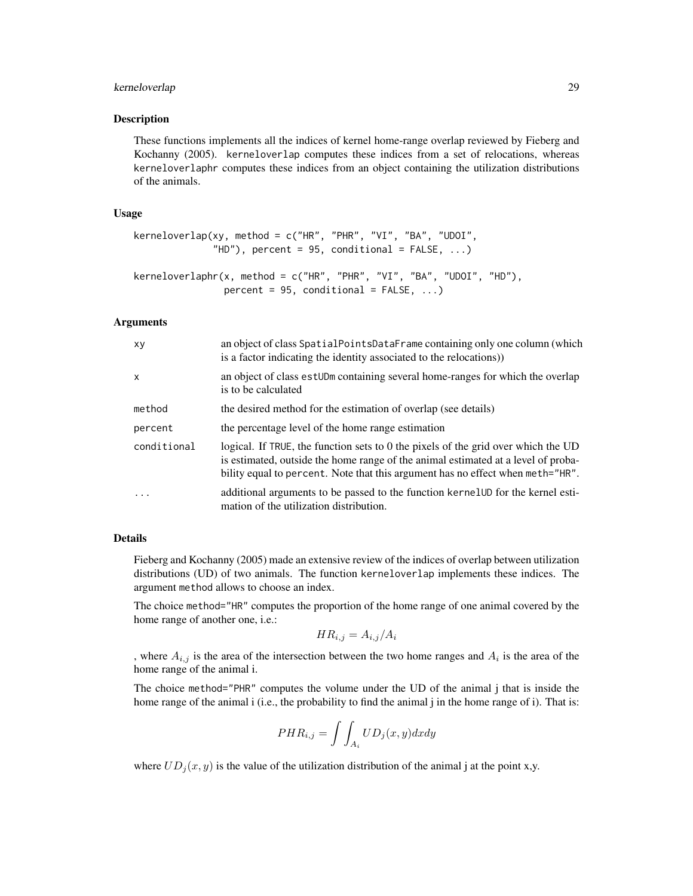#### kerneloverlap 29

#### **Description**

These functions implements all the indices of kernel home-range overlap reviewed by Fieberg and Kochanny (2005). kerneloverlap computes these indices from a set of relocations, whereas kerneloverlaphr computes these indices from an object containing the utilization distributions of the animals.

#### Usage

```
kerneloverlap(xy, method = c("HR", "PHR", "VI", "BA", "UDOI",
              "HD"), percent = 95, conditional = FALSE, ...)
kerneloverlaphr(x, method = c("HR", "PHR", "VI", "BA", "UDOI", "HD"),
```

```
percent = 95, conditional = FALSE, ...)
```
#### Arguments

| XV           | an object of class SpatialPointsDataFrame containing only one column (which<br>is a factor indicating the identity associated to the relocations)                                                                                                        |
|--------------|----------------------------------------------------------------------------------------------------------------------------------------------------------------------------------------------------------------------------------------------------------|
| $\mathsf{x}$ | an object of class est UDm containing several home-ranges for which the overlap<br>is to be calculated                                                                                                                                                   |
| method       | the desired method for the estimation of overlap (see details)                                                                                                                                                                                           |
| percent      | the percentage level of the home range estimation                                                                                                                                                                                                        |
| conditional  | logical. If TRUE, the function sets to 0 the pixels of the grid over which the UD<br>is estimated, outside the home range of the animal estimated at a level of proba-<br>bility equal to percent. Note that this argument has no effect when meth="HR". |
| $\ddotsc$    | additional arguments to be passed to the function kernelUD for the kernel esti-<br>mation of the utilization distribution.                                                                                                                               |

#### Details

Fieberg and Kochanny (2005) made an extensive review of the indices of overlap between utilization distributions (UD) of two animals. The function kerneloverlap implements these indices. The argument method allows to choose an index.

The choice method="HR" computes the proportion of the home range of one animal covered by the home range of another one, i.e.:

$$
HR_{i,j} = A_{i,j}/A_i
$$

, where  $A_{i,j}$  is the area of the intersection between the two home ranges and  $A_i$  is the area of the home range of the animal i.

The choice method="PHR" computes the volume under the UD of the animal j that is inside the home range of the animal i (i.e., the probability to find the animal j in the home range of i). That is:

$$
PHR_{i,j} = \int \int_{A_i} UD_j(x, y) dx dy
$$

where  $UD_i(x, y)$  is the value of the utilization distribution of the animal j at the point x,y.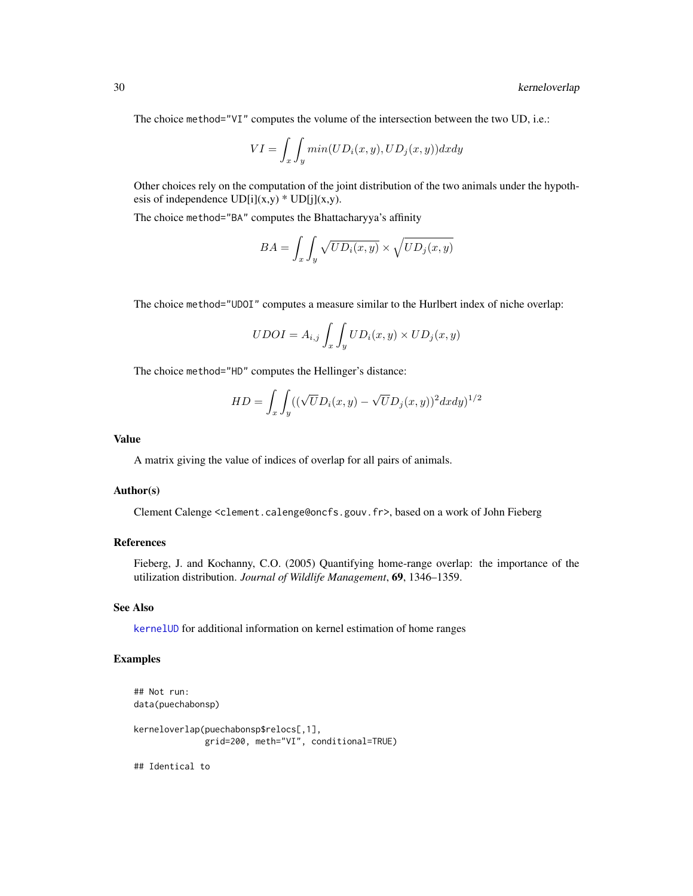<span id="page-29-0"></span>The choice method="VI" computes the volume of the intersection between the two UD, i.e.:

$$
VI = \int_{x} \int_{y} \min(UD_i(x, y), UD_j(x, y)) dx dy
$$

Other choices rely on the computation of the joint distribution of the two animals under the hypothesis of independence  $UD[i](x,y) * UD[j](x,y)$ .

The choice method="BA" computes the Bhattacharyya's affinity

$$
BA = \int_{x} \int_{y} \sqrt{UD_i(x, y)} \times \sqrt{UD_j(x, y)}
$$

The choice method="UDOI" computes a measure similar to the Hurlbert index of niche overlap:

$$
UDOI = A_{i,j} \int_{x} \int_{y} UD_{i}(x, y) \times UD_{j}(x, y)
$$

The choice method="HD" computes the Hellinger's distance:

$$
HD = \int_x \int_y ((\sqrt{U}D_i(x, y) - \sqrt{U}D_j(x, y))^2 dx dy)^{1/2}
$$

#### Value

A matrix giving the value of indices of overlap for all pairs of animals.

#### Author(s)

Clement Calenge <clement.calenge@oncfs.gouv.fr>, based on a work of John Fieberg

#### References

Fieberg, J. and Kochanny, C.O. (2005) Quantifying home-range overlap: the importance of the utilization distribution. *Journal of Wildlife Management*, 69, 1346–1359.

#### See Also

[kernelUD](#page-30-1) for additional information on kernel estimation of home ranges

#### Examples

```
## Not run:
data(puechabonsp)
kerneloverlap(puechabonsp$relocs[,1],
             grid=200, meth="VI", conditional=TRUE)
## Identical to
```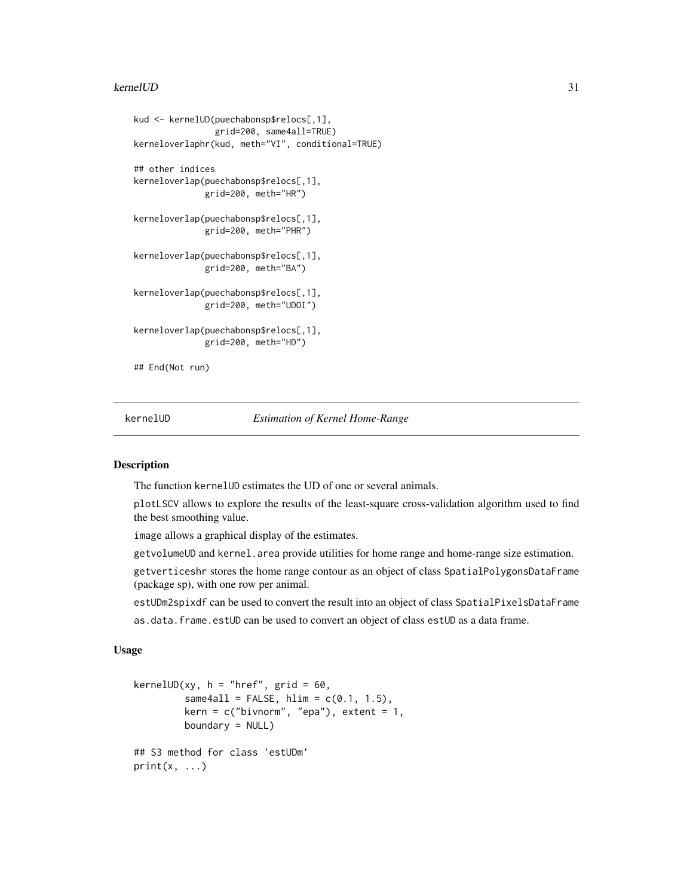#### <span id="page-30-0"></span>kernelUD 31

```
kud <- kernelUD(puechabonsp$relocs[,1],
                grid=200, same4all=TRUE)
kerneloverlaphr(kud, meth="VI", conditional=TRUE)
## other indices
kerneloverlap(puechabonsp$relocs[,1],
              grid=200, meth="HR")
kerneloverlap(puechabonsp$relocs[,1],
             grid=200, meth="PHR")
kerneloverlap(puechabonsp$relocs[,1],
              grid=200, meth="BA")
kerneloverlap(puechabonsp$relocs[,1],
             grid=200, meth="UDOI")
kerneloverlap(puechabonsp$relocs[,1],
              grid=200, meth="HD")
## End(Not run)
```
<span id="page-30-1"></span>

kernelUD *Estimation of Kernel Home-Range*

#### Description

The function kernelUD estimates the UD of one or several animals.

plotLSCV allows to explore the results of the least-square cross-validation algorithm used to find the best smoothing value.

image allows a graphical display of the estimates.

getvolumeUD and kernel.area provide utilities for home range and home-range size estimation.

getverticeshr stores the home range contour as an object of class SpatialPolygonsDataFrame (package sp), with one row per animal.

estUDm2spixdf can be used to convert the result into an object of class SpatialPixelsDataFrame

as.data.frame.estUD can be used to convert an object of class estUD as a data frame.

#### Usage

```
kernelUD(xy, h = "here", grid = 60,same4all = FALSE, hlim = c(0.1, 1.5),
          \text{kern} = c("bivnorm", "epa"), \text{extent} = 1,boundary = NULL)
## S3 method for class 'estUDm'
print(x, \ldots)
```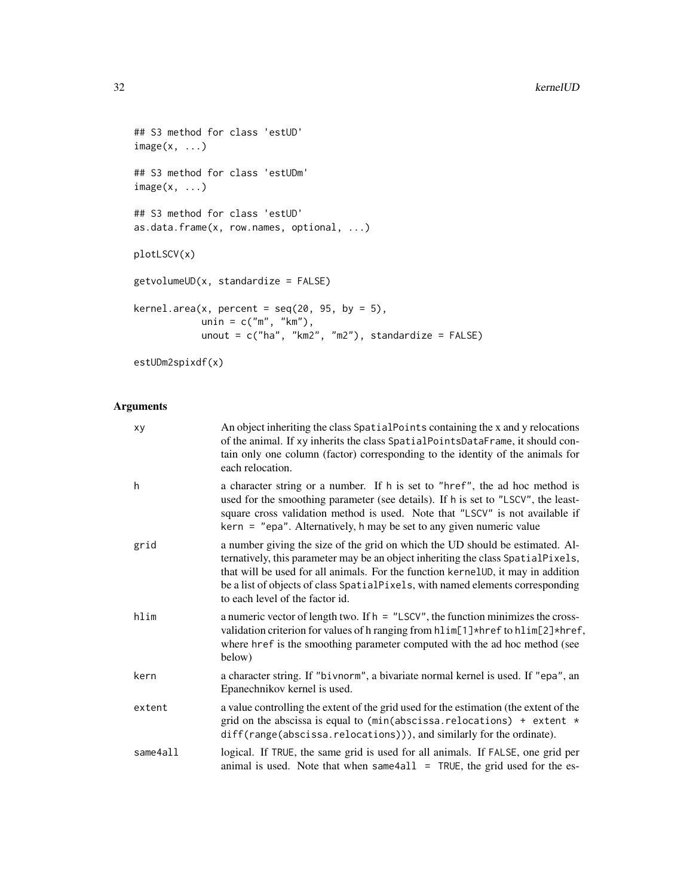```
## S3 method for class 'estUD'
image(x, \ldots)## S3 method for class 'estUDm'
image(x, \ldots)## S3 method for class 'estUD'
as.data.frame(x, row.names, optional, ...)
plotLSCV(x)
getvolumeUD(x, standardize = FALSE)
kernel.area(x, percent = seq(20, 95, by = 5),
            unin = c("m", "km"),
            unout = c("ha", "km2", "m2"), standardize = FALSE)
```

```
estUDm2spixdf(x)
```
#### Arguments

| xy       | An object inheriting the class SpatialPoints containing the x and y relocations<br>of the animal. If xy inherits the class SpatialPointsDataFrame, it should con-<br>tain only one column (factor) corresponding to the identity of the animals for<br>each relocation.                                                                                                    |
|----------|----------------------------------------------------------------------------------------------------------------------------------------------------------------------------------------------------------------------------------------------------------------------------------------------------------------------------------------------------------------------------|
| h        | a character string or a number. If h is set to "href", the ad hoc method is<br>used for the smoothing parameter (see details). If h is set to "LSCV", the least-<br>square cross validation method is used. Note that "LSCV" is not available if<br>kern = "epa". Alternatively, h may be set to any given numeric value                                                   |
| grid     | a number giving the size of the grid on which the UD should be estimated. Al-<br>ternatively, this parameter may be an object inheriting the class SpatialPixels,<br>that will be used for all animals. For the function kernelUD, it may in addition<br>be a list of objects of class SpatialPixels, with named elements corresponding<br>to each level of the factor id. |
| hlim     | a numeric vector of length two. If $h = "LSCV",$ the function minimizes the cross-<br>validation criterion for values of h ranging from hlim[1]*href to hlim[2]*href,<br>where href is the smoothing parameter computed with the ad hoc method (see<br>below)                                                                                                              |
| kern     | a character string. If "bivnorm", a bivariate normal kernel is used. If "epa", an<br>Epanechnikov kernel is used.                                                                                                                                                                                                                                                          |
| extent   | a value controlling the extent of the grid used for the estimation (the extent of the<br>grid on the abscissa is equal to (min(abscissa. relocations) + extent $*$<br>diff(range(abscissa.relocations))), and similarly for the ordinate).                                                                                                                                 |
| same4all | logical. If TRUE, the same grid is used for all animals. If FALSE, one grid per<br>animal is used. Note that when same 4all $=$ TRUE, the grid used for the es-                                                                                                                                                                                                            |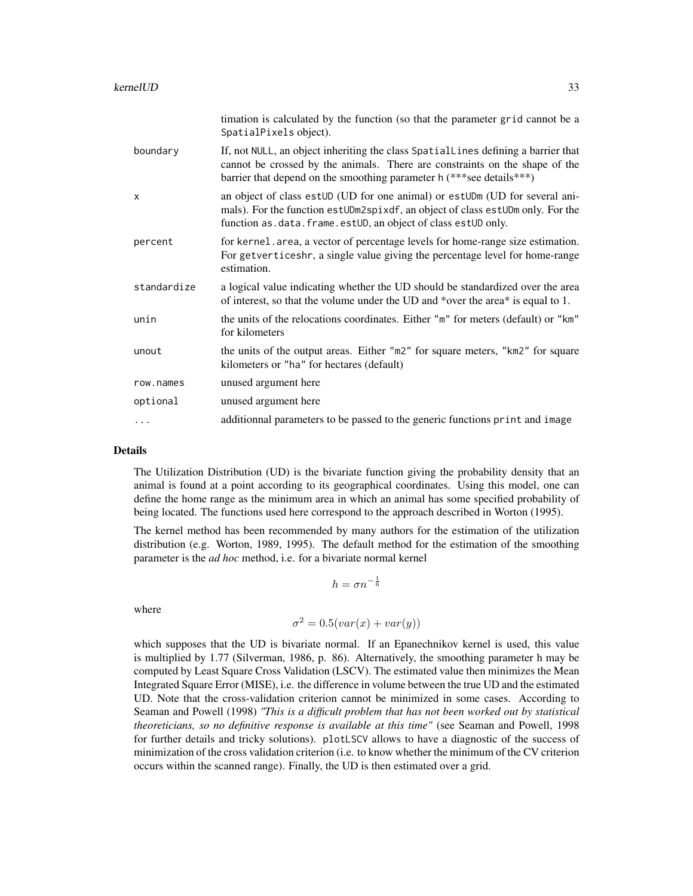|             | timation is calculated by the function (so that the parameter grid cannot be a<br>SpatialPixels object).                                                                                                                                 |
|-------------|------------------------------------------------------------------------------------------------------------------------------------------------------------------------------------------------------------------------------------------|
| boundary    | If, not NULL, an object inheriting the class SpatialLines defining a barrier that<br>cannot be crossed by the animals. There are constraints on the shape of the<br>barrier that depend on the smoothing parameter h (***see details***) |
| X           | an object of class estUD (UD for one animal) or estUDm (UD for several ani-<br>mals). For the function estUDm2spixdf, an object of class estUDm only. For the<br>function as.data.frame.estUD, an object of class estUD only.            |
| percent     | for kernel area, a vector of percentage levels for home-range size estimation.<br>For getverticeshr, a single value giving the percentage level for home-range<br>estimation.                                                            |
| standardize | a logical value indicating whether the UD should be standardized over the area<br>of interest, so that the volume under the UD and *over the area* is equal to 1.                                                                        |
| unin        | the units of the relocations coordinates. Either "m" for meters (default) or "km"<br>for kilometers                                                                                                                                      |
| unout       | the units of the output areas. Either "m2" for square meters, "km2" for square<br>kilometers or "ha" for hectares (default)                                                                                                              |
| row.names   | unused argument here                                                                                                                                                                                                                     |
| optional    | unused argument here                                                                                                                                                                                                                     |
| .           | additionnal parameters to be passed to the generic functions print and image                                                                                                                                                             |

#### Details

The Utilization Distribution (UD) is the bivariate function giving the probability density that an animal is found at a point according to its geographical coordinates. Using this model, one can define the home range as the minimum area in which an animal has some specified probability of being located. The functions used here correspond to the approach described in Worton (1995).

The kernel method has been recommended by many authors for the estimation of the utilization distribution (e.g. Worton, 1989, 1995). The default method for the estimation of the smoothing parameter is the *ad hoc* method, i.e. for a bivariate normal kernel

$$
h = \sigma n^{-\frac{1}{6}}
$$

where

$$
\sigma^2 = 0.5(var(x) + var(y))
$$

which supposes that the UD is bivariate normal. If an Epanechnikov kernel is used, this value is multiplied by 1.77 (Silverman, 1986, p. 86). Alternatively, the smoothing parameter h may be computed by Least Square Cross Validation (LSCV). The estimated value then minimizes the Mean Integrated Square Error (MISE), i.e. the difference in volume between the true UD and the estimated UD. Note that the cross-validation criterion cannot be minimized in some cases. According to Seaman and Powell (1998) *"This is a difficult problem that has not been worked out by statistical theoreticians, so no definitive response is available at this time"* (see Seaman and Powell, 1998 for further details and tricky solutions). plotLSCV allows to have a diagnostic of the success of minimization of the cross validation criterion (i.e. to know whether the minimum of the CV criterion occurs within the scanned range). Finally, the UD is then estimated over a grid.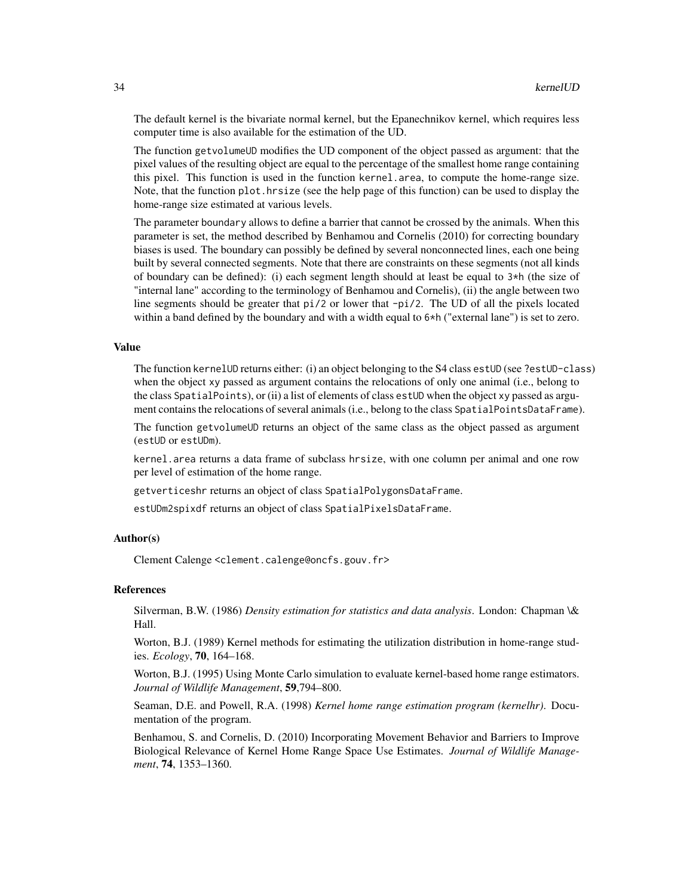The default kernel is the bivariate normal kernel, but the Epanechnikov kernel, which requires less computer time is also available for the estimation of the UD.

The function getvolumeUD modifies the UD component of the object passed as argument: that the pixel values of the resulting object are equal to the percentage of the smallest home range containing this pixel. This function is used in the function kernel.area, to compute the home-range size. Note, that the function plot.hrsize (see the help page of this function) can be used to display the home-range size estimated at various levels.

The parameter boundary allows to define a barrier that cannot be crossed by the animals. When this parameter is set, the method described by Benhamou and Cornelis (2010) for correcting boundary biases is used. The boundary can possibly be defined by several nonconnected lines, each one being built by several connected segments. Note that there are constraints on these segments (not all kinds of boundary can be defined): (i) each segment length should at least be equal to 3\*h (the size of "internal lane" according to the terminology of Benhamou and Cornelis), (ii) the angle between two line segments should be greater that pi/2 or lower that -pi/2. The UD of all the pixels located within a band defined by the boundary and with a width equal to  $6*h$  ("external lane") is set to zero.

#### Value

The function kernelUD returns either: (i) an object belonging to the S4 class estUD (see ?estUD-class) when the object xy passed as argument contains the relocations of only one animal (i.e., belong to the class SpatialPoints), or (ii) a list of elements of class estUD when the object xy passed as argument contains the relocations of several animals (i.e., belong to the class SpatialPointsDataFrame).

The function getvolumeUD returns an object of the same class as the object passed as argument (estUD or estUDm).

kernel.area returns a data frame of subclass hrsize, with one column per animal and one row per level of estimation of the home range.

getverticeshr returns an object of class SpatialPolygonsDataFrame.

estUDm2spixdf returns an object of class SpatialPixelsDataFrame.

#### Author(s)

Clement Calenge <clement.calenge@oncfs.gouv.fr>

#### **References**

Silverman, B.W. (1986) *Density estimation for statistics and data analysis*. London: Chapman \& Hall.

Worton, B.J. (1989) Kernel methods for estimating the utilization distribution in home-range studies. *Ecology*, 70, 164–168.

Worton, B.J. (1995) Using Monte Carlo simulation to evaluate kernel-based home range estimators. *Journal of Wildlife Management*, 59,794–800.

Seaman, D.E. and Powell, R.A. (1998) *Kernel home range estimation program (kernelhr)*. Documentation of the program.

Benhamou, S. and Cornelis, D. (2010) Incorporating Movement Behavior and Barriers to Improve Biological Relevance of Kernel Home Range Space Use Estimates. *Journal of Wildlife Management*, 74, 1353–1360.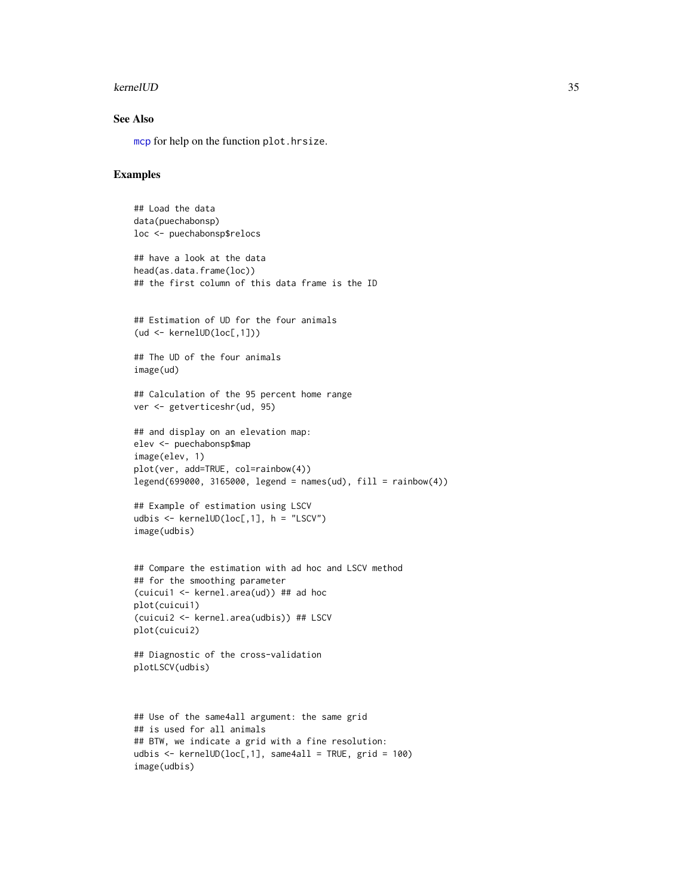#### <span id="page-34-0"></span>kernelUD 35

#### See Also

[mcp](#page-42-1) for help on the function plot.hrsize.

#### Examples

```
## Load the data
data(puechabonsp)
loc <- puechabonsp$relocs
## have a look at the data
head(as.data.frame(loc))
## the first column of this data frame is the ID
## Estimation of UD for the four animals
(ud <- kernelUD(loc[,1]))
## The UD of the four animals
image(ud)
## Calculation of the 95 percent home range
ver <- getverticeshr(ud, 95)
## and display on an elevation map:
elev <- puechabonsp$map
image(elev, 1)
plot(ver, add=TRUE, col=rainbow(4))
legend(699000, 3165000, legend = names(ud), fill = rainbow(4))## Example of estimation using LSCV
udbis <- kernelUD(loc[,1], h = "LSCV")
image(udbis)
## Compare the estimation with ad hoc and LSCV method
## for the smoothing parameter
(cuicui1 <- kernel.area(ud)) ## ad hoc
plot(cuicui1)
(cuicui2 <- kernel.area(udbis)) ## LSCV
plot(cuicui2)
## Diagnostic of the cross-validation
plotLSCV(udbis)
## Use of the same4all argument: the same grid
## is used for all animals
## BTW, we indicate a grid with a fine resolution:
udbis \le kernelUD(loc[,1], same4all = TRUE, grid = 100)
image(udbis)
```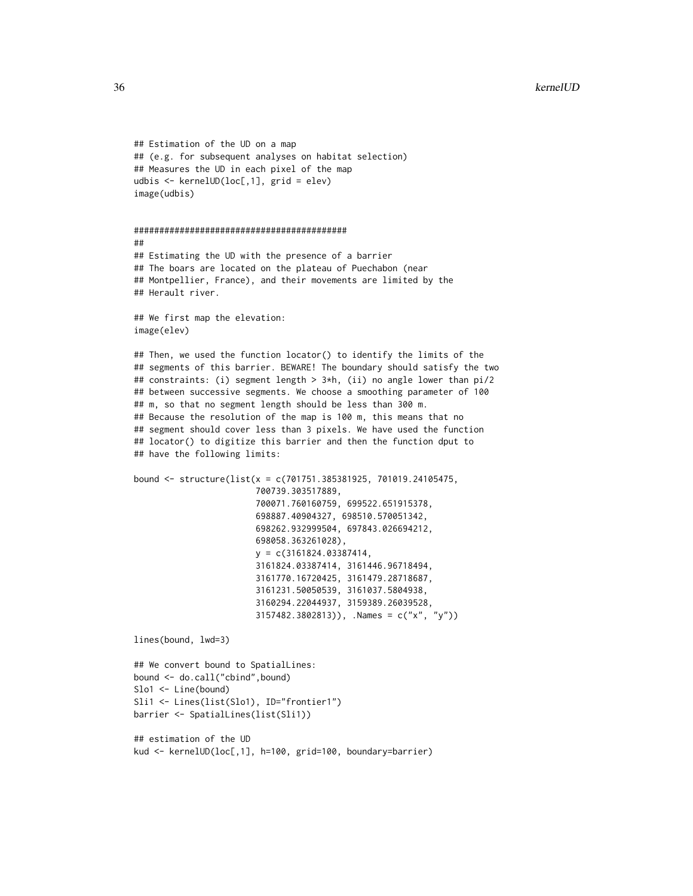```
## Estimation of the UD on a map
## (e.g. for subsequent analyses on habitat selection)
## Measures the UD in each pixel of the map
udbis <- kernelUD(loc[,1], grid = elev)
image(udbis)
##########################################
##
## Estimating the UD with the presence of a barrier
## The boars are located on the plateau of Puechabon (near
## Montpellier, France), and their movements are limited by the
## Herault river.
## We first map the elevation:
image(elev)
## Then, we used the function locator() to identify the limits of the
## segments of this barrier. BEWARE! The boundary should satisfy the two
## constraints: (i) segment length > 3*h, (ii) no angle lower than pi/2
## between successive segments. We choose a smoothing parameter of 100
## m, so that no segment length should be less than 300 m.
## Because the resolution of the map is 100 m, this means that no
## segment should cover less than 3 pixels. We have used the function
## locator() to digitize this barrier and then the function dput to
## have the following limits:
bound <- structure(list(x = c(701751.385381925, 701019.24105475,
                        700739.303517889,
                        700071.760160759, 699522.651915378,
                        698887.40904327, 698510.570051342,
                        698262.932999504, 697843.026694212,
                        698058.363261028),
                        y = c(3161824.03387414,3161824.03387414, 3161446.96718494,
                        3161770.16720425, 3161479.28718687,
                        3161231.50050539, 3161037.5804938,
                        3160294.22044937, 3159389.26039528,
                        3157482.3802813)), .Names = c("x", "y"))
lines(bound, lwd=3)
## We convert bound to SpatialLines:
bound <- do.call("cbind",bound)
Slo1 <- Line(bound)
Sli1 <- Lines(list(Slo1), ID="frontier1")
barrier <- SpatialLines(list(Sli1))
## estimation of the UD
kud <- kernelUD(loc[,1], h=100, grid=100, boundary=barrier)
```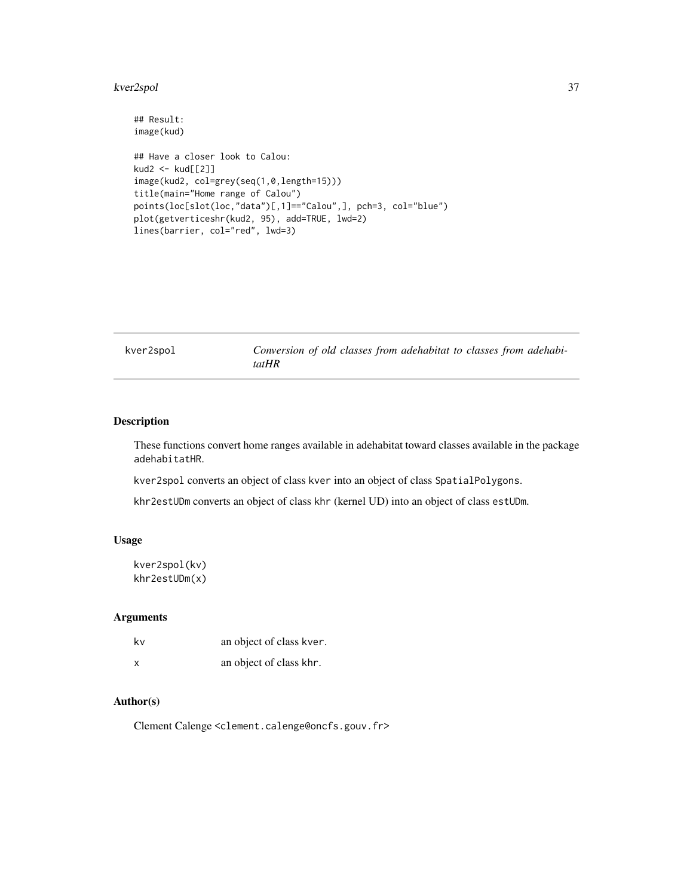#### <span id="page-36-0"></span>kver2spol 37

```
## Result:
image(kud)
## Have a closer look to Calou:
kud2 <- kud[[2]]
image(kud2, col=grey(seq(1,0,length=15)))
title(main="Home range of Calou")
points(loc[slot(loc,"data")[,1]=="Calou",], pch=3, col="blue")
plot(getverticeshr(kud2, 95), add=TRUE, lwd=2)
lines(barrier, col="red", lwd=3)
```
kver2spol *Conversion of old classes from adehabitat to classes from adehabitatHR*

#### Description

These functions convert home ranges available in adehabitat toward classes available in the package adehabitatHR.

kver2spol converts an object of class kver into an object of class SpatialPolygons.

khr2estUDm converts an object of class khr (kernel UD) into an object of class estUDm.

#### Usage

kver2spol(kv) khr2estUDm(x)

#### Arguments

| kv | an object of class kver. |
|----|--------------------------|
| X  | an object of class khr.  |

#### Author(s)

Clement Calenge <clement.calenge@oncfs.gouv.fr>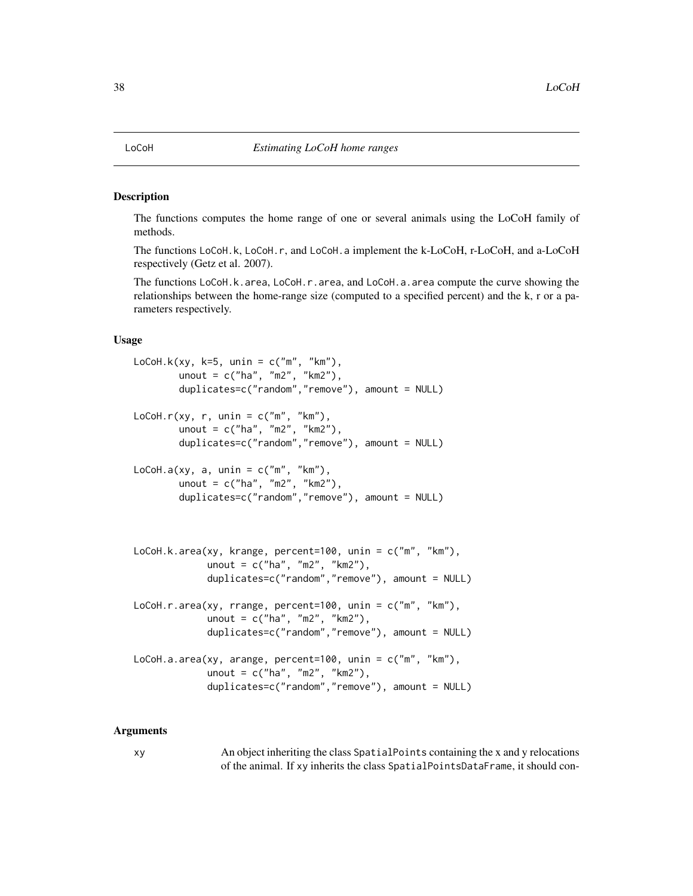#### <span id="page-37-1"></span>Description

The functions computes the home range of one or several animals using the LoCoH family of methods.

The functions LoCoH.k, LoCoH.r, and LoCoH.a implement the k-LoCoH, r-LoCoH, and a-LoCoH respectively (Getz et al. 2007).

The functions LoCoH.k.area, LoCoH.r.area, and LoCoH.a.area compute the curve showing the relationships between the home-range size (computed to a specified percent) and the k, r or a parameters respectively.

#### Usage

```
LoCoH.k(xy, k=5, unin = c("m", "km"),
        unout = c("ha", "m2", "km2"),
        duplicates=c("random","remove"), amount = NULL)
LoCoH.r(xy, r, unin = c("m", "km"),
        unout = c("ha", "m2", "km2"),
        duplicates=c("random","remove"), amount = NULL)
LoCoH.a(xy, a, unin = c("m", "km"),
        unout = c("ha", "m2", "km2"),
        duplicates=c("random","remove"), amount = NULL)
LoCoH.k.area(xy, krange, percent=100, unin = c("m", "km"),
             unout = c("ha", "m2", "km2"),
             duplicates=c("random","remove"), amount = NULL)
LoCoH.r.area(xy, rrange, percent=100, unin = c("m", "km"),
             unout = c("ha", "m2", "km2"),
             duplicates=c("random","remove"), amount = NULL)
LoCoH.a.area(xy, arange, percent=100, unin = c("m", "km"),
             unout = c("ha", "m2", "km2"),
             duplicates=c("random","remove"), amount = NULL)
```
#### Arguments

xy An object inheriting the class SpatialPoints containing the x and y relocations of the animal. If xy inherits the class SpatialPointsDataFrame, it should con-

<span id="page-37-2"></span><span id="page-37-0"></span>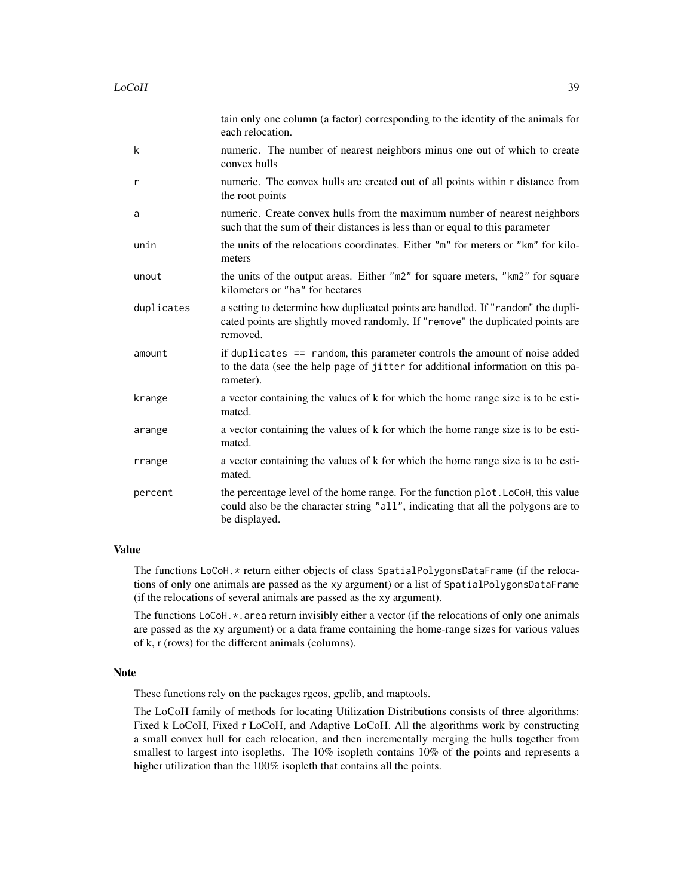|            | tain only one column (a factor) corresponding to the identity of the animals for<br>each relocation.                                                                                   |
|------------|----------------------------------------------------------------------------------------------------------------------------------------------------------------------------------------|
| k          | numeric. The number of nearest neighbors minus one out of which to create<br>convex hulls                                                                                              |
| r          | numeric. The convex hulls are created out of all points within r distance from<br>the root points                                                                                      |
| a          | numeric. Create convex hulls from the maximum number of nearest neighbors<br>such that the sum of their distances is less than or equal to this parameter                              |
| unin       | the units of the relocations coordinates. Either "m" for meters or "km" for kilo-<br>meters                                                                                            |
| unout      | the units of the output areas. Either "m2" for square meters, "km2" for square<br>kilometers or "ha" for hectares                                                                      |
| duplicates | a setting to determine how duplicated points are handled. If "random" the dupli-<br>cated points are slightly moved randomly. If "remove" the duplicated points are<br>removed.        |
| amount     | if duplicates $==$ random, this parameter controls the amount of noise added<br>to the data (see the help page of jitter for additional information on this pa-<br>rameter).           |
| krange     | a vector containing the values of k for which the home range size is to be esti-<br>mated.                                                                                             |
| arange     | a vector containing the values of k for which the home range size is to be esti-<br>mated.                                                                                             |
| rrange     | a vector containing the values of k for which the home range size is to be esti-<br>mated.                                                                                             |
| percent    | the percentage level of the home range. For the function plot. LoCoH, this value<br>could also be the character string "all", indicating that all the polygons are to<br>be displayed. |

#### Value

The functions LoCoH.\* return either objects of class SpatialPolygonsDataFrame (if the relocations of only one animals are passed as the xy argument) or a list of SpatialPolygonsDataFrame (if the relocations of several animals are passed as the xy argument).

The functions LoCoH.\*.area return invisibly either a vector (if the relocations of only one animals are passed as the xy argument) or a data frame containing the home-range sizes for various values of k, r (rows) for the different animals (columns).

#### Note

These functions rely on the packages rgeos, gpclib, and maptools.

The LoCoH family of methods for locating Utilization Distributions consists of three algorithms: Fixed k LoCoH, Fixed r LoCoH, and Adaptive LoCoH. All the algorithms work by constructing a small convex hull for each relocation, and then incrementally merging the hulls together from smallest to largest into isopleths. The 10% isopleth contains 10% of the points and represents a higher utilization than the 100% isopleth that contains all the points.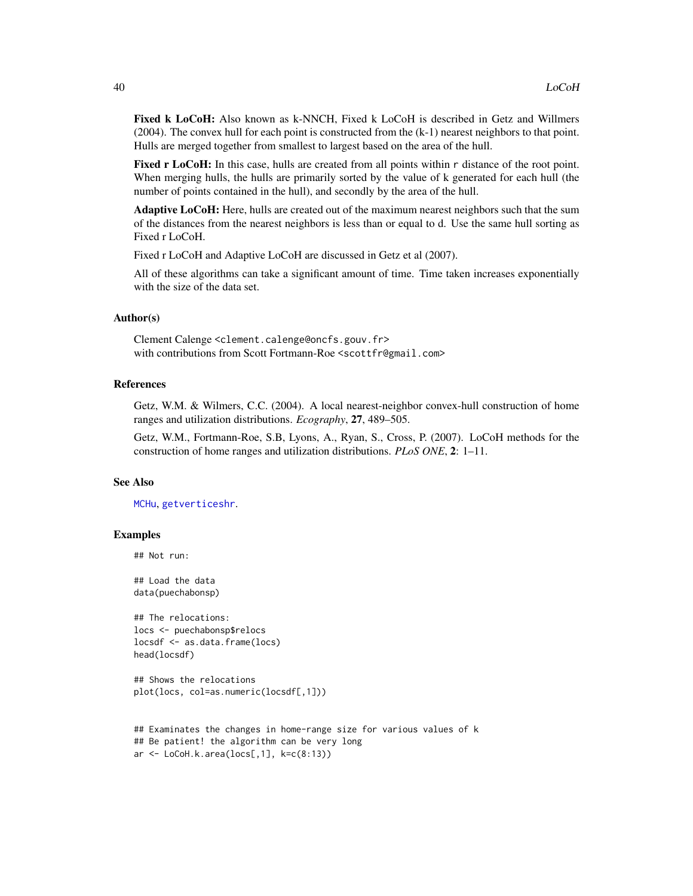<span id="page-39-0"></span>Fixed k LoCoH: Also known as k-NNCH, Fixed k LoCoH is described in Getz and Willmers (2004). The convex hull for each point is constructed from the (k-1) nearest neighbors to that point. Hulls are merged together from smallest to largest based on the area of the hull.

Fixed r LoCoH: In this case, hulls are created from all points within r distance of the root point. When merging hulls, the hulls are primarily sorted by the value of k generated for each hull (the number of points contained in the hull), and secondly by the area of the hull.

Adaptive LoCoH: Here, hulls are created out of the maximum nearest neighbors such that the sum of the distances from the nearest neighbors is less than or equal to d. Use the same hull sorting as Fixed r LoCoH.

Fixed r LoCoH and Adaptive LoCoH are discussed in Getz et al (2007).

All of these algorithms can take a significant amount of time. Time taken increases exponentially with the size of the data set.

#### Author(s)

Clement Calenge <clement.calenge@oncfs.gouv.fr> with contributions from Scott Fortmann-Roe <scottfr@gmail.com>

#### References

Getz, W.M. & Wilmers, C.C. (2004). A local nearest-neighbor convex-hull construction of home ranges and utilization distributions. *Ecography*, 27, 489–505.

Getz, W.M., Fortmann-Roe, S.B, Lyons, A., Ryan, S., Cross, P. (2007). LoCoH methods for the construction of home ranges and utilization distributions. *PLoS ONE*, 2: 1–11.

#### See Also

[MCHu](#page-40-1), [getverticeshr](#page-13-1).

#### Examples

## Not run:

## Load the data data(puechabonsp)

## The relocations: locs <- puechabonsp\$relocs locsdf <- as.data.frame(locs) head(locsdf)

```
## Shows the relocations
plot(locs, col=as.numeric(locsdf[,1]))
```

```
## Examinates the changes in home-range size for various values of k
## Be patient! the algorithm can be very long
ar <- LoCoH.k.area(locs[,1], k=c(8:13))
```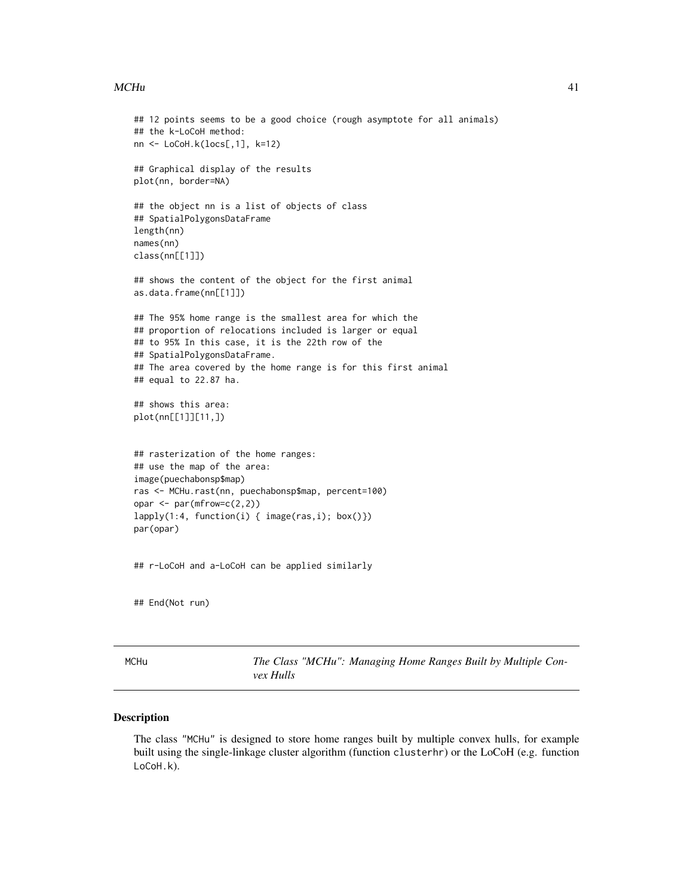#### <span id="page-40-0"></span> $MCHu$  41

```
## 12 points seems to be a good choice (rough asymptote for all animals)
## the k-LoCoH method:
nn <- LoCoH.k(locs[,1], k=12)
## Graphical display of the results
plot(nn, border=NA)
## the object nn is a list of objects of class
## SpatialPolygonsDataFrame
length(nn)
names(nn)
class(nn[[1]])
## shows the content of the object for the first animal
as.data.frame(nn[[1]])
## The 95% home range is the smallest area for which the
## proportion of relocations included is larger or equal
## to 95% In this case, it is the 22th row of the
## SpatialPolygonsDataFrame.
## The area covered by the home range is for this first animal
## equal to 22.87 ha.
## shows this area:
plot(nn[[1]][11,])
## rasterization of the home ranges:
## use the map of the area:
image(puechabonsp$map)
ras <- MCHu.rast(nn, puechabonsp$map, percent=100)
opar <- par(mfrow=c(2,2))
lapply(1:4, function(i) { image(ras,i); box()})
par(opar)
## r-LoCoH and a-LoCoH can be applied similarly
## End(Not run)
```
<span id="page-40-1"></span>MCHu *The Class "MCHu": Managing Home Ranges Built by Multiple Convex Hulls*

#### Description

The class "MCHu" is designed to store home ranges built by multiple convex hulls, for example built using the single-linkage cluster algorithm (function clusterhr) or the LoCoH (e.g. function LoCoH.k).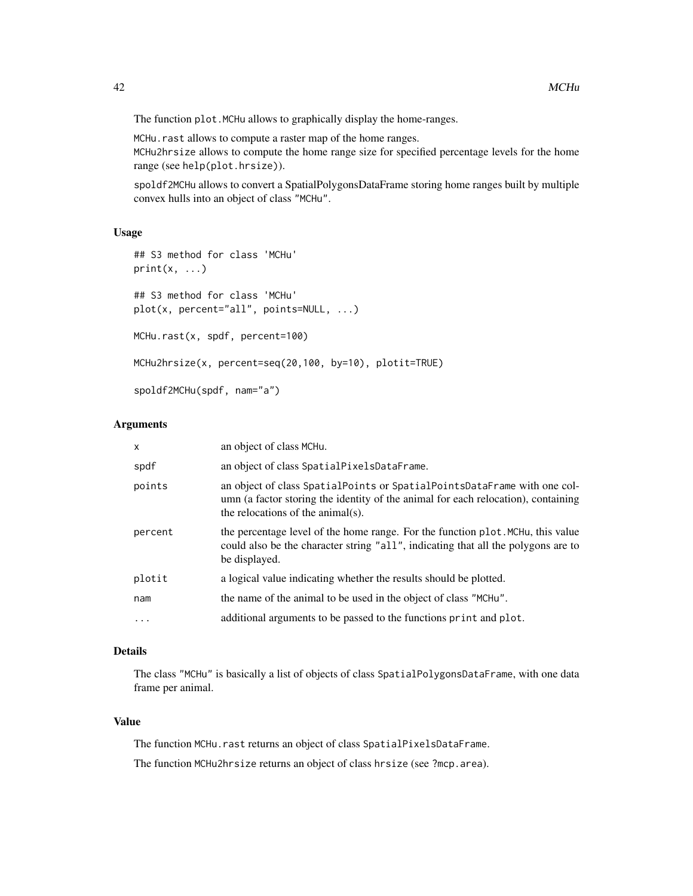The function plot. MCHu allows to graphically display the home-ranges.

MCHu.rast allows to compute a raster map of the home ranges. MCHu2hrsize allows to compute the home range size for specified percentage levels for the home range (see help(plot.hrsize)).

spoldf2MCHu allows to convert a SpatialPolygonsDataFrame storing home ranges built by multiple convex hulls into an object of class "MCHu".

#### Usage

```
## S3 method for class 'MCHu'
print(x, \ldots)## S3 method for class 'MCHu'
plot(x, percent="all", points=NULL, ...)
MCHu.rast(x, spdf, percent=100)
MCHu2hrsize(x, percent=seq(20,100, by=10), plotit=TRUE)
spoldf2MCHu(spdf, nam="a")
```
#### Arguments

| x        | an object of class MCHu.                                                                                                                                                                           |
|----------|----------------------------------------------------------------------------------------------------------------------------------------------------------------------------------------------------|
| spdf     | an object of class SpatialPixelsDataFrame.                                                                                                                                                         |
| points   | an object of class SpatialPoints or SpatialPointsDataFrame with one col-<br>umn (a factor storing the identity of the animal for each relocation), containing<br>the relocations of the animal(s). |
| percent  | the percentage level of the home range. For the function plot. MCHu, this value<br>could also be the character string "all", indicating that all the polygons are to<br>be displayed.              |
| plotit   | a logical value indicating whether the results should be plotted.                                                                                                                                  |
| nam      | the name of the animal to be used in the object of class "MCHu".                                                                                                                                   |
| $\ddots$ | additional arguments to be passed to the functions print and plot.                                                                                                                                 |
|          |                                                                                                                                                                                                    |

#### Details

The class "MCHu" is basically a list of objects of class SpatialPolygonsDataFrame, with one data frame per animal.

#### Value

The function MCHu.rast returns an object of class SpatialPixelsDataFrame.

The function MCHu2hrsize returns an object of class hrsize (see ?mcp.area).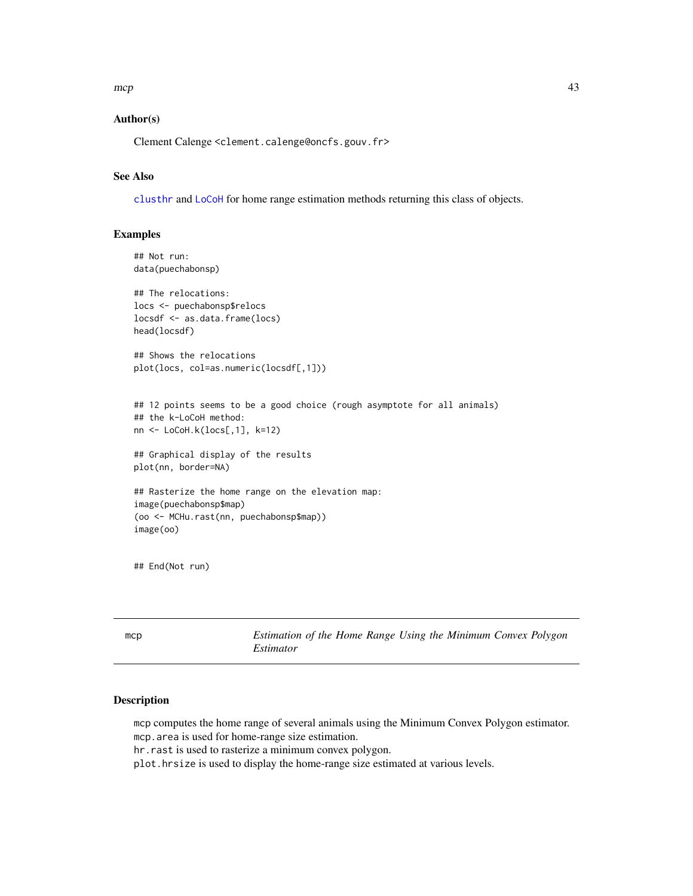<span id="page-42-0"></span> $mcp$  43

#### Author(s)

Clement Calenge <clement.calenge@oncfs.gouv.fr>

#### See Also

[clusthr](#page-9-1) and [LoCoH](#page-37-2) for home range estimation methods returning this class of objects.

#### Examples

```
## Not run:
data(puechabonsp)
## The relocations:
locs <- puechabonsp$relocs
locsdf <- as.data.frame(locs)
head(locsdf)
## Shows the relocations
plot(locs, col=as.numeric(locsdf[,1]))
## 12 points seems to be a good choice (rough asymptote for all animals)
## the k-LoCoH method:
nn <- LoCoH.k(locs[,1], k=12)
## Graphical display of the results
plot(nn, border=NA)
## Rasterize the home range on the elevation map:
image(puechabonsp$map)
(oo <- MCHu.rast(nn, puechabonsp$map))
image(oo)
```
## End(Not run)

<span id="page-42-1"></span>mcp *Estimation of the Home Range Using the Minimum Convex Polygon Estimator*

#### Description

mcp computes the home range of several animals using the Minimum Convex Polygon estimator. mcp.area is used for home-range size estimation.

hr.rast is used to rasterize a minimum convex polygon.

plot.hrsize is used to display the home-range size estimated at various levels.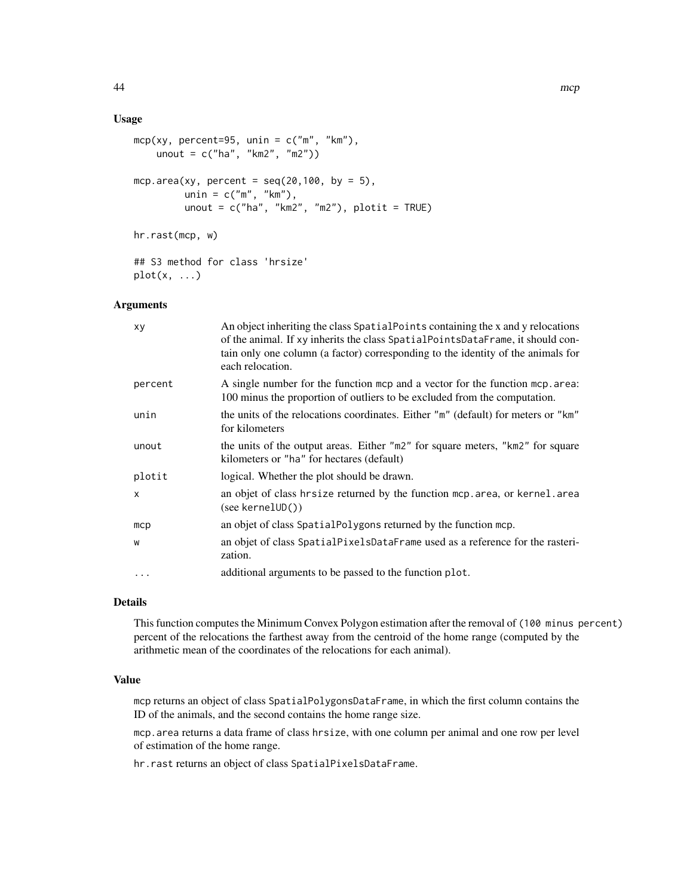#### Usage

```
mcp(xy, percent=95, unin = c("m", "km"),
    unout = c("ha", "km2", "m2"))
mcp.area(xy, percent = seq(20, 100, by = 5),
         unin = c("m", "km"),
         unout = c("ha", "km2", "m2"), plotit = TRUE)hr.rast(mcp, w)
## S3 method for class 'hrsize'
plot(x, \ldots)
```
#### Arguments

| xy           | An object inheriting the class SpatialPoints containing the x and y relocations<br>of the animal. If xy inherits the class SpatialPointsDataFrame, it should con-<br>tain only one column (a factor) corresponding to the identity of the animals for<br>each relocation. |
|--------------|---------------------------------------------------------------------------------------------------------------------------------------------------------------------------------------------------------------------------------------------------------------------------|
| percent      | A single number for the function mcp and a vector for the function mcp. area:<br>100 minus the proportion of outliers to be excluded from the computation.                                                                                                                |
| unin         | the units of the relocations coordinates. Either "m" (default) for meters or "km"<br>for kilometers                                                                                                                                                                       |
| unout        | the units of the output areas. Either "m2" for square meters, "km2" for square<br>kilometers or "ha" for hectares (default)                                                                                                                                               |
| plotit       | logical. Whether the plot should be drawn.                                                                                                                                                                                                                                |
| $\mathsf{x}$ | an objet of class hrsize returned by the function mcp. area, or kernel. area<br>(see <b>kernelUD()</b> )                                                                                                                                                                  |
| mcp          | an objet of class SpatialPolygons returned by the function mcp.                                                                                                                                                                                                           |
| W            | an objet of class SpatialPixelsDataFrame used as a reference for the rasteri-<br>zation.                                                                                                                                                                                  |
| $\ddotsc$    | additional arguments to be passed to the function plot.                                                                                                                                                                                                                   |

#### Details

This function computes the Minimum Convex Polygon estimation after the removal of (100 minus percent) percent of the relocations the farthest away from the centroid of the home range (computed by the arithmetic mean of the coordinates of the relocations for each animal).

#### Value

mcp returns an object of class SpatialPolygonsDataFrame, in which the first column contains the ID of the animals, and the second contains the home range size.

mcp.area returns a data frame of class hrsize, with one column per animal and one row per level of estimation of the home range.

hr.rast returns an object of class SpatialPixelsDataFrame.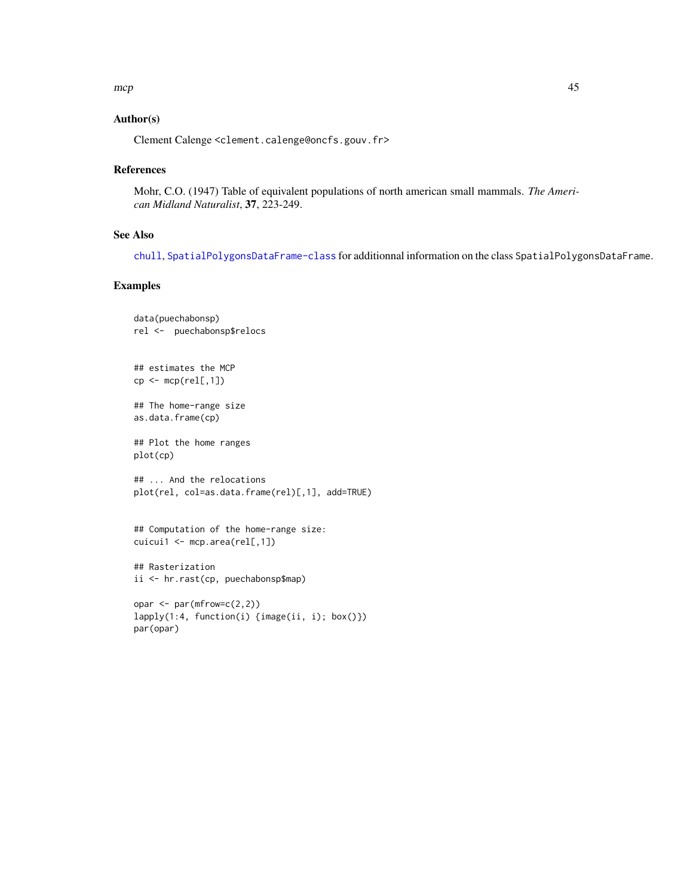#### <span id="page-44-0"></span>Author(s)

Clement Calenge <clement.calenge@oncfs.gouv.fr>

#### References

Mohr, C.O. (1947) Table of equivalent populations of north american small mammals. *The American Midland Naturalist*, 37, 223-249.

#### See Also

[chull](#page-0-0), [SpatialPolygonsDataFrame-class](#page-0-0) for additionnal information on the class SpatialPolygonsDataFrame.

#### Examples

par(opar)

```
data(puechabonsp)
rel <- puechabonsp$relocs
## estimates the MCP
cp \leftarrow \text{mcp}(\text{rel}[, 1])## The home-range size
as.data.frame(cp)
## Plot the home ranges
plot(cp)
## ... And the relocations
plot(rel, col=as.data.frame(rel)[,1], add=TRUE)
## Computation of the home-range size:
cuicui1 <- mcp.area(rel[,1])
## Rasterization
ii <- hr.rast(cp, puechabonsp$map)
opar <- par(mfrow=c(2,2))
lapply(1:4, function(i) {image(ii, i); box()})
```